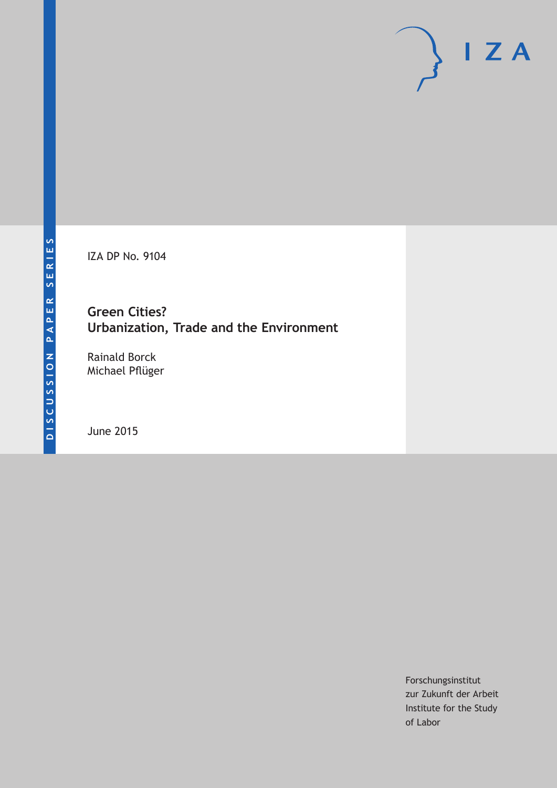IZA DP No. 9104

**Green Cities? Urbanization, Trade and the Environment**

Rainald Borck Michael Pflüger

June 2015

Forschungsinstitut zur Zukunft der Arbeit Institute for the Study of Labor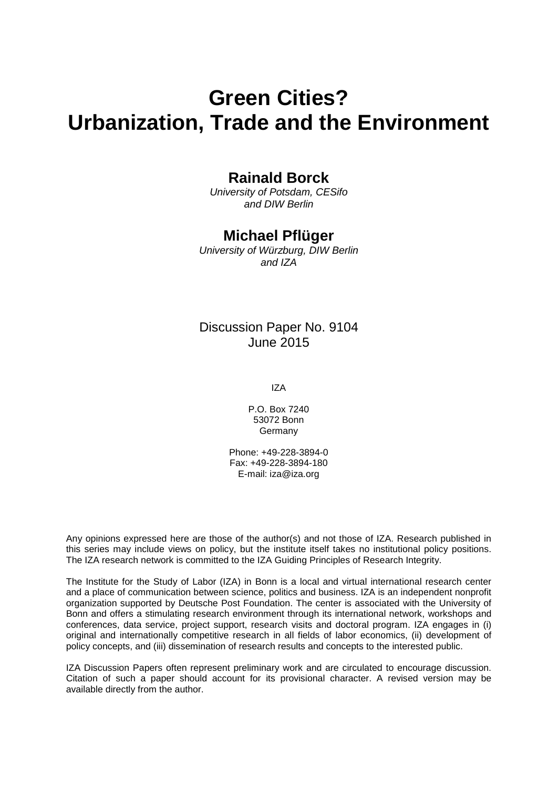# **Green Cities? Urbanization, Trade and the Environment**

### **Rainald Borck**

*University of Potsdam, CESifo and DIW Berlin*

### **Michael Pflüger**

*University of Würzburg, DIW Berlin and IZA*

### Discussion Paper No. 9104 June 2015

IZA

P.O. Box 7240 53072 Bonn Germany

Phone: +49-228-3894-0 Fax: +49-228-3894-180 E-mail: iza@iza.org

Any opinions expressed here are those of the author(s) and not those of IZA. Research published in this series may include views on policy, but the institute itself takes no institutional policy positions. The IZA research network is committed to the IZA Guiding Principles of Research Integrity.

The Institute for the Study of Labor (IZA) in Bonn is a local and virtual international research center and a place of communication between science, politics and business. IZA is an independent nonprofit organization supported by Deutsche Post Foundation. The center is associated with the University of Bonn and offers a stimulating research environment through its international network, workshops and conferences, data service, project support, research visits and doctoral program. IZA engages in (i) original and internationally competitive research in all fields of labor economics, (ii) development of policy concepts, and (iii) dissemination of research results and concepts to the interested public.

<span id="page-1-0"></span>IZA Discussion Papers often represent preliminary work and are circulated to encourage discussion. Citation of such a paper should account for its provisional character. A revised version may be available directly from the author.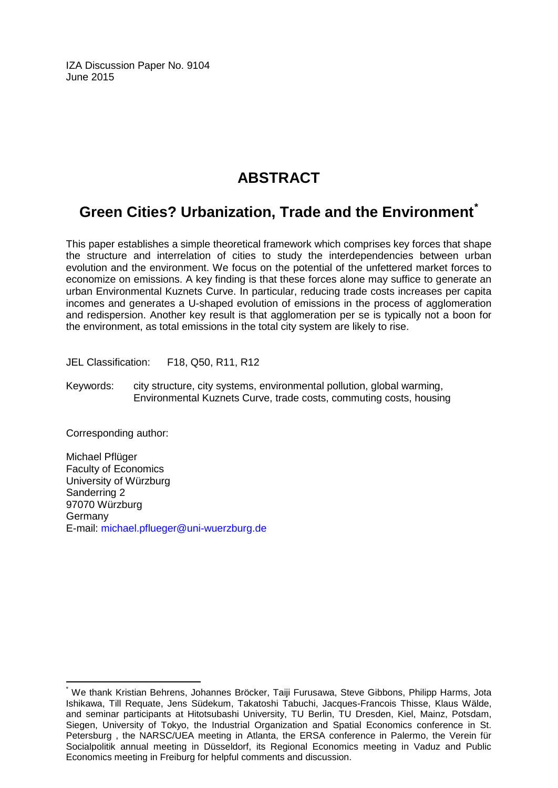IZA Discussion Paper No. 9104 June 2015

# **ABSTRACT**

# **Green Cities? Urbanization, Trade and the Environment[\\*](#page-1-0)**

This paper establishes a simple theoretical framework which comprises key forces that shape the structure and interrelation of cities to study the interdependencies between urban evolution and the environment. We focus on the potential of the unfettered market forces to economize on emissions. A key finding is that these forces alone may suffice to generate an urban Environmental Kuznets Curve. In particular, reducing trade costs increases per capita incomes and generates a U-shaped evolution of emissions in the process of agglomeration and redispersion. Another key result is that agglomeration per se is typically not a boon for the environment, as total emissions in the total city system are likely to rise.

JEL Classification: F18, Q50, R11, R12

Keywords: city structure, city systems, environmental pollution, global warming, Environmental Kuznets Curve, trade costs, commuting costs, housing

Corresponding author:

Michael Pflüger Faculty of Economics University of Würzburg Sanderring 2 97070 Würzburg Germany E-mail: [michael.pflueger@uni-wuerzburg.de](mailto:michael.pflueger@uni-wuerzburg.de)

\* We thank Kristian Behrens, Johannes Bröcker, Taiji Furusawa, Steve Gibbons, Philipp Harms, Jota Ishikawa, Till Requate, Jens Südekum, Takatoshi Tabuchi, Jacques-Francois Thisse, Klaus Wälde, and seminar participants at Hitotsubashi University, TU Berlin, TU Dresden, Kiel, Mainz, Potsdam, Siegen, University of Tokyo, the Industrial Organization and Spatial Economics conference in St. Petersburg , the NARSC/UEA meeting in Atlanta, the ERSA conference in Palermo, the Verein für Socialpolitik annual meeting in Düsseldorf, its Regional Economics meeting in Vaduz and Public Economics meeting in Freiburg for helpful comments and discussion.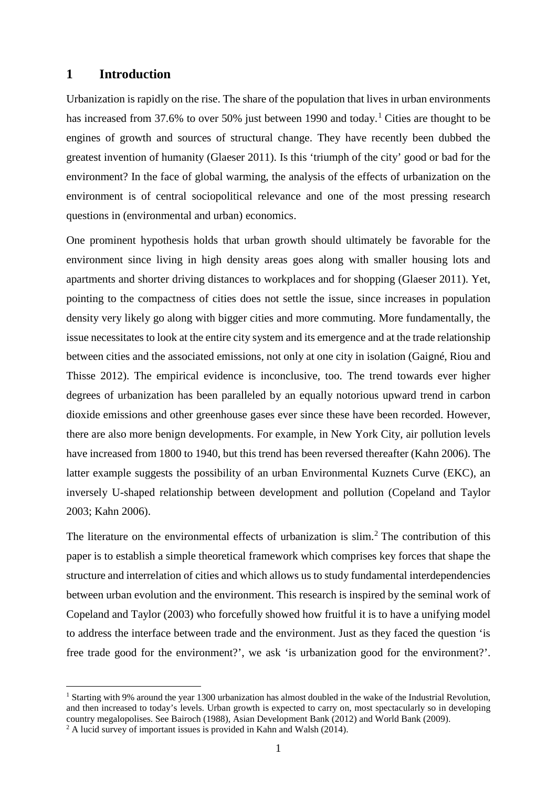#### **1 Introduction**

Urbanization is rapidly on the rise. The share of the population that lives in urban environments has increased from 37.6% to over 50% just between [1](#page-3-0)990 and today.<sup>1</sup> Cities are thought to be engines of growth and sources of structural change. They have recently been dubbed the greatest invention of humanity (Glaeser 2011). Is this 'triumph of the city' good or bad for the environment? In the face of global warming, the analysis of the effects of urbanization on the environment is of central sociopolitical relevance and one of the most pressing research questions in (environmental and urban) economics.

One prominent hypothesis holds that urban growth should ultimately be favorable for the environment since living in high density areas goes along with smaller housing lots and apartments and shorter driving distances to workplaces and for shopping (Glaeser 2011). Yet, pointing to the compactness of cities does not settle the issue, since increases in population density very likely go along with bigger cities and more commuting. More fundamentally, the issue necessitates to look at the entire city system and its emergence and at the trade relationship between cities and the associated emissions, not only at one city in isolation (Gaigné, Riou and Thisse 2012). The empirical evidence is inconclusive, too. The trend towards ever higher degrees of urbanization has been paralleled by an equally notorious upward trend in carbon dioxide emissions and other greenhouse gases ever since these have been recorded. However, there are also more benign developments. For example, in New York City, air pollution levels have increased from 1800 to 1940, but this trend has been reversed thereafter (Kahn 2006). The latter example suggests the possibility of an urban Environmental Kuznets Curve (EKC), an inversely U-shaped relationship between development and pollution (Copeland and Taylor 2003; Kahn 2006).

The literature on the environmental effects of urbanization is slim.<sup>[2](#page-3-1)</sup> The contribution of this paper is to establish a simple theoretical framework which comprises key forces that shape the structure and interrelation of cities and which allows us to study fundamental interdependencies between urban evolution and the environment. This research is inspired by the seminal work of Copeland and Taylor (2003) who forcefully showed how fruitful it is to have a unifying model to address the interface between trade and the environment. Just as they faced the question 'is free trade good for the environment?', we ask 'is urbanization good for the environment?'.

<span id="page-3-0"></span><sup>&</sup>lt;sup>1</sup> Starting with 9% around the year 1300 urbanization has almost doubled in the wake of the Industrial Revolution, and then increased to today's levels. Urban growth is expected to carry on, most spectacularly so in developing country megalopolises. See Bairoch (1988), Asian Development Bank (2012) and World Bank (2009).

<span id="page-3-1"></span><sup>&</sup>lt;sup>2</sup> A lucid survey of important issues is provided in Kahn and Walsh (2014).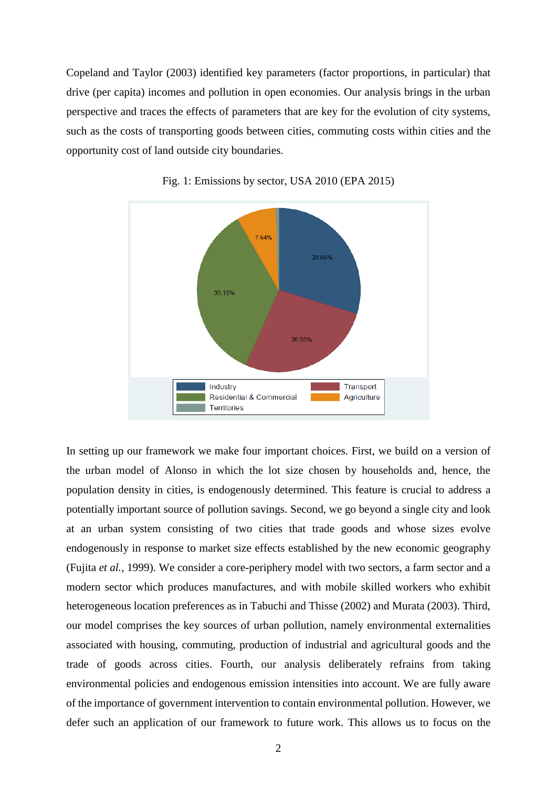Copeland and Taylor (2003) identified key parameters (factor proportions, in particular) that drive (per capita) incomes and pollution in open economies. Our analysis brings in the urban perspective and traces the effects of parameters that are key for the evolution of city systems, such as the costs of transporting goods between cities, commuting costs within cities and the opportunity cost of land outside city boundaries.





In setting up our framework we make four important choices. First, we build on a version of the urban model of Alonso in which the lot size chosen by households and, hence, the population density in cities, is endogenously determined. This feature is crucial to address a potentially important source of pollution savings. Second, we go beyond a single city and look at an urban system consisting of two cities that trade goods and whose sizes evolve endogenously in response to market size effects established by the new economic geography (Fujita *et al.*, 1999). We consider a core-periphery model with two sectors, a farm sector and a modern sector which produces manufactures, and with mobile skilled workers who exhibit heterogeneous location preferences as in Tabuchi and Thisse (2002) and Murata (2003). Third, our model comprises the key sources of urban pollution, namely environmental externalities associated with housing, commuting, production of industrial and agricultural goods and the trade of goods across cities. Fourth, our analysis deliberately refrains from taking environmental policies and endogenous emission intensities into account. We are fully aware of the importance of government intervention to contain environmental pollution. However, we defer such an application of our framework to future work. This allows us to focus on the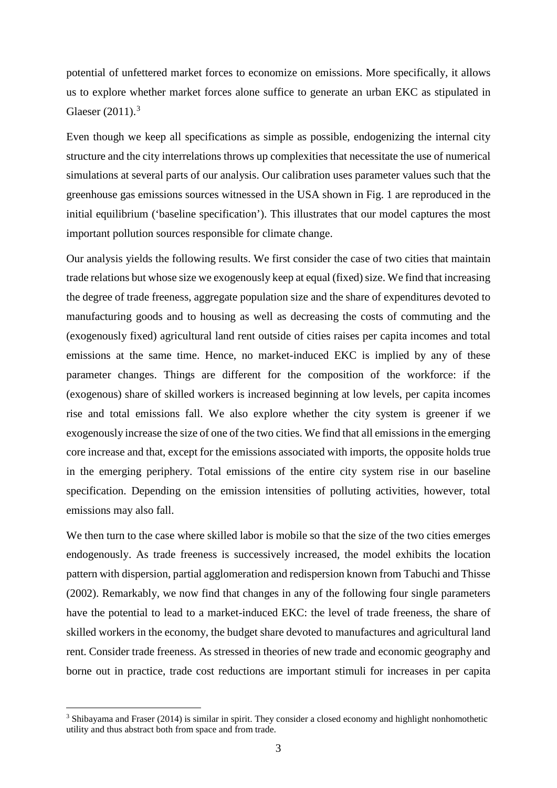potential of unfettered market forces to economize on emissions. More specifically, it allows us to explore whether market forces alone suffice to generate an urban EKC as stipulated in Glaeser (2011).<sup>[3](#page-5-0)</sup>

Even though we keep all specifications as simple as possible, endogenizing the internal city structure and the city interrelations throws up complexities that necessitate the use of numerical simulations at several parts of our analysis. Our calibration uses parameter values such that the greenhouse gas emissions sources witnessed in the USA shown in Fig. 1 are reproduced in the initial equilibrium ('baseline specification'). This illustrates that our model captures the most important pollution sources responsible for climate change.

Our analysis yields the following results. We first consider the case of two cities that maintain trade relations but whose size we exogenously keep at equal (fixed) size. We find that increasing the degree of trade freeness, aggregate population size and the share of expenditures devoted to manufacturing goods and to housing as well as decreasing the costs of commuting and the (exogenously fixed) agricultural land rent outside of cities raises per capita incomes and total emissions at the same time. Hence, no market-induced EKC is implied by any of these parameter changes. Things are different for the composition of the workforce: if the (exogenous) share of skilled workers is increased beginning at low levels, per capita incomes rise and total emissions fall. We also explore whether the city system is greener if we exogenously increase the size of one of the two cities. We find that all emissions in the emerging core increase and that, except for the emissions associated with imports, the opposite holds true in the emerging periphery. Total emissions of the entire city system rise in our baseline specification. Depending on the emission intensities of polluting activities, however, total emissions may also fall.

We then turn to the case where skilled labor is mobile so that the size of the two cities emerges endogenously. As trade freeness is successively increased, the model exhibits the location pattern with dispersion, partial agglomeration and redispersion known from Tabuchi and Thisse (2002). Remarkably, we now find that changes in any of the following four single parameters have the potential to lead to a market-induced EKC: the level of trade freeness, the share of skilled workers in the economy, the budget share devoted to manufactures and agricultural land rent. Consider trade freeness. As stressed in theories of new trade and economic geography and borne out in practice, trade cost reductions are important stimuli for increases in per capita

<span id="page-5-0"></span><sup>&</sup>lt;sup>3</sup> Shibayama and Fraser (2014) is similar in spirit. They consider a closed economy and highlight nonhomothetic utility and thus abstract both from space and from trade.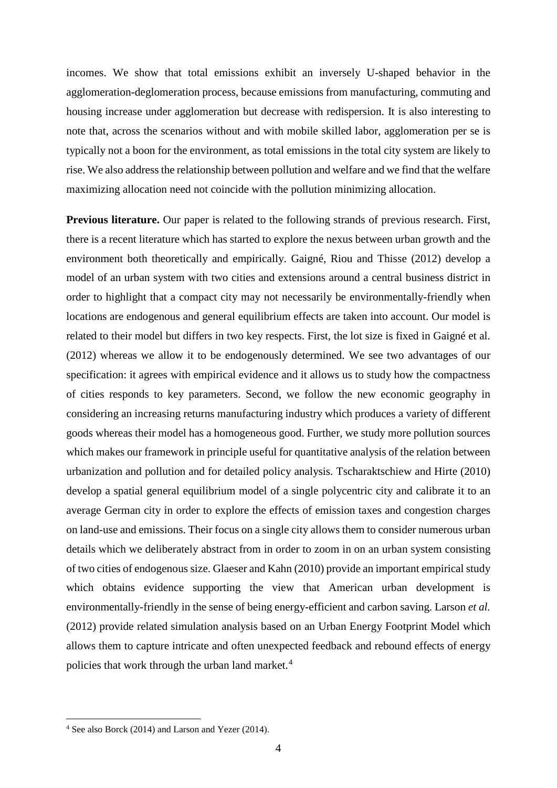incomes. We show that total emissions exhibit an inversely U-shaped behavior in the agglomeration-deglomeration process, because emissions from manufacturing, commuting and housing increase under agglomeration but decrease with redispersion. It is also interesting to note that, across the scenarios without and with mobile skilled labor, agglomeration per se is typically not a boon for the environment, as total emissions in the total city system are likely to rise. We also address the relationship between pollution and welfare and we find that the welfare maximizing allocation need not coincide with the pollution minimizing allocation.

**Previous literature.** Our paper is related to the following strands of previous research. First, there is a recent literature which has started to explore the nexus between urban growth and the environment both theoretically and empirically. Gaigné, Riou and Thisse (2012) develop a model of an urban system with two cities and extensions around a central business district in order to highlight that a compact city may not necessarily be environmentally-friendly when locations are endogenous and general equilibrium effects are taken into account. Our model is related to their model but differs in two key respects. First, the lot size is fixed in Gaigné et al. (2012) whereas we allow it to be endogenously determined. We see two advantages of our specification: it agrees with empirical evidence and it allows us to study how the compactness of cities responds to key parameters. Second, we follow the new economic geography in considering an increasing returns manufacturing industry which produces a variety of different goods whereas their model has a homogeneous good. Further, we study more pollution sources which makes our framework in principle useful for quantitative analysis of the relation between urbanization and pollution and for detailed policy analysis. Tscharaktschiew and Hirte (2010) develop a spatial general equilibrium model of a single polycentric city and calibrate it to an average German city in order to explore the effects of emission taxes and congestion charges on land-use and emissions. Their focus on a single city allows them to consider numerous urban details which we deliberately abstract from in order to zoom in on an urban system consisting of two cities of endogenous size. Glaeser and Kahn (2010) provide an important empirical study which obtains evidence supporting the view that American urban development is environmentally-friendly in the sense of being energy-efficient and carbon saving. Larson *et al.* (2012) provide related simulation analysis based on an Urban Energy Footprint Model which allows them to capture intricate and often unexpected feedback and rebound effects of energy policies that work through the urban land market.<sup>[4](#page-6-0)</sup>

<span id="page-6-0"></span> <sup>4</sup> See also Borck (2014) and Larson and Yezer (2014).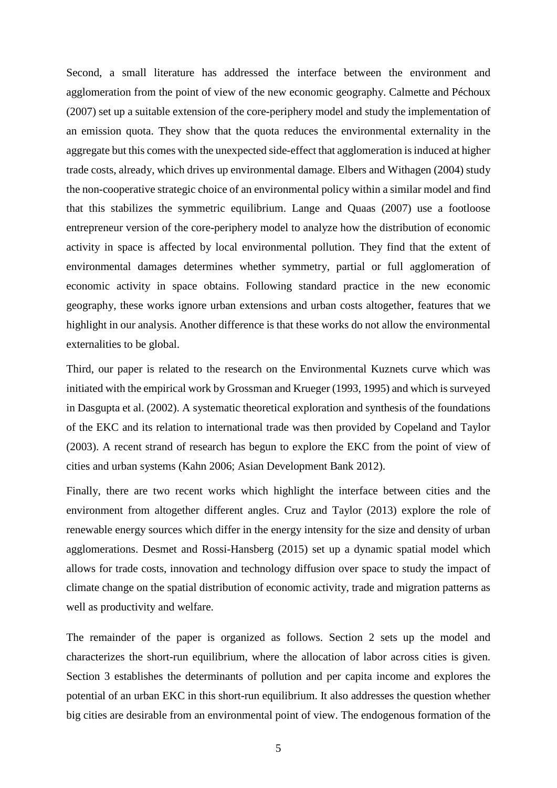Second, a small literature has addressed the interface between the environment and agglomeration from the point of view of the new economic geography. Calmette and Péchoux (2007) set up a suitable extension of the core-periphery model and study the implementation of an emission quota. They show that the quota reduces the environmental externality in the aggregate but this comes with the unexpected side-effect that agglomeration is induced at higher trade costs, already, which drives up environmental damage. Elbers and Withagen (2004) study the non-cooperative strategic choice of an environmental policy within a similar model and find that this stabilizes the symmetric equilibrium. Lange and Quaas (2007) use a footloose entrepreneur version of the core-periphery model to analyze how the distribution of economic activity in space is affected by local environmental pollution. They find that the extent of environmental damages determines whether symmetry, partial or full agglomeration of economic activity in space obtains. Following standard practice in the new economic geography, these works ignore urban extensions and urban costs altogether, features that we highlight in our analysis. Another difference is that these works do not allow the environmental externalities to be global.

Third, our paper is related to the research on the Environmental Kuznets curve which was initiated with the empirical work by Grossman and Krueger (1993, 1995) and which is surveyed in Dasgupta et al. (2002). A systematic theoretical exploration and synthesis of the foundations of the EKC and its relation to international trade was then provided by Copeland and Taylor (2003). A recent strand of research has begun to explore the EKC from the point of view of cities and urban systems (Kahn 2006; Asian Development Bank 2012).

Finally, there are two recent works which highlight the interface between cities and the environment from altogether different angles. Cruz and Taylor (2013) explore the role of renewable energy sources which differ in the energy intensity for the size and density of urban agglomerations. Desmet and Rossi-Hansberg (2015) set up a dynamic spatial model which allows for trade costs, innovation and technology diffusion over space to study the impact of climate change on the spatial distribution of economic activity, trade and migration patterns as well as productivity and welfare.

The remainder of the paper is organized as follows. Section 2 sets up the model and characterizes the short-run equilibrium, where the allocation of labor across cities is given. Section 3 establishes the determinants of pollution and per capita income and explores the potential of an urban EKC in this short-run equilibrium. It also addresses the question whether big cities are desirable from an environmental point of view. The endogenous formation of the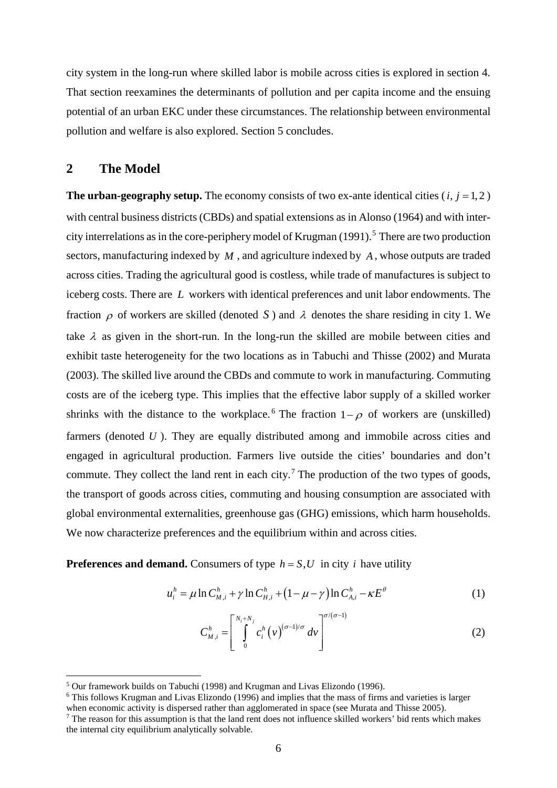city system in the long-run where skilled labor is mobile across cities is explored in section 4. That section reexamines the determinants of pollution and per capita income and the ensuing potential of an urban EKC under these circumstances. The relationship between environmental pollution and welfare is also explored. Section 5 concludes.

#### **2 The Model**

**The urban-geography setup.** The economy consists of two ex-ante identical cities  $(i, j = 1, 2)$ with central business districts (CBDs) and spatial extensions as in Alonso (1964) and with intercity interrelations as in the core-periphery model of Krugman (1991). [5](#page-8-0) There are two production sectors, manufacturing indexed by *M* , and agriculture indexed by *A* , whose outputs are traded across cities. Trading the agricultural good is costless, while trade of manufactures is subject to iceberg costs. There are *L* workers with identical preferences and unit labor endowments. The fraction  $\rho$  of workers are skilled (denoted S) and  $\lambda$  denotes the share residing in city 1. We take  $\lambda$  as given in the short-run. In the long-run the skilled are mobile between cities and exhibit taste heterogeneity for the two locations as in Tabuchi and Thisse (2002) and Murata (2003). The skilled live around the CBDs and commute to work in manufacturing. Commuting costs are of the iceberg type. This implies that the effective labor supply of a skilled worker shrinks with the distance to the workplace.<sup>[6](#page-8-1)</sup> The fraction  $1-\rho$  of workers are (unskilled) farmers (denoted *U*). They are equally distributed among and immobile across cities and engaged in agricultural production. Farmers live outside the cities' boundaries and don't commute. They collect the land rent in each city.<sup>[7](#page-8-2)</sup> The production of the two types of goods, the transport of goods across cities, commuting and housing consumption are associated with global environmental externalities, greenhouse gas (GHG) emissions, which harm households. We now characterize preferences and the equilibrium within and across cities.

**Preferences and demand.** Consumers of type  $h = S, U$  in city *i* have utility

$$
u_i^h = \mu \ln C_{M,i}^h + \gamma \ln C_{H,i}^h + (1 - \mu - \gamma) \ln C_{A,i}^h - \kappa E^\theta
$$
 (1)

$$
C_{M,i}^{h} = \left[ \int\limits_{0}^{N_i + N_j} c_i^h \left( v \right)^{(\sigma - 1)/\sigma} dv \right]^{\sigma/(\sigma - 1)}
$$
(2)

<span id="page-8-0"></span> <sup>5</sup> Our framework builds on Tabuchi (1998) and Krugman and Livas Elizondo (1996).

<span id="page-8-1"></span><sup>&</sup>lt;sup>6</sup> This follows Krugman and Livas Elizondo (1996) and implies that the mass of firms and varieties is larger when economic activity is dispersed rather than agglomerated in space (see Murata and Thisse 2005).

<span id="page-8-2"></span><sup>&</sup>lt;sup>7</sup> The reason for this assumption is that the land rent does not influence skilled workers' bid rents which makes the internal city equilibrium analytically solvable.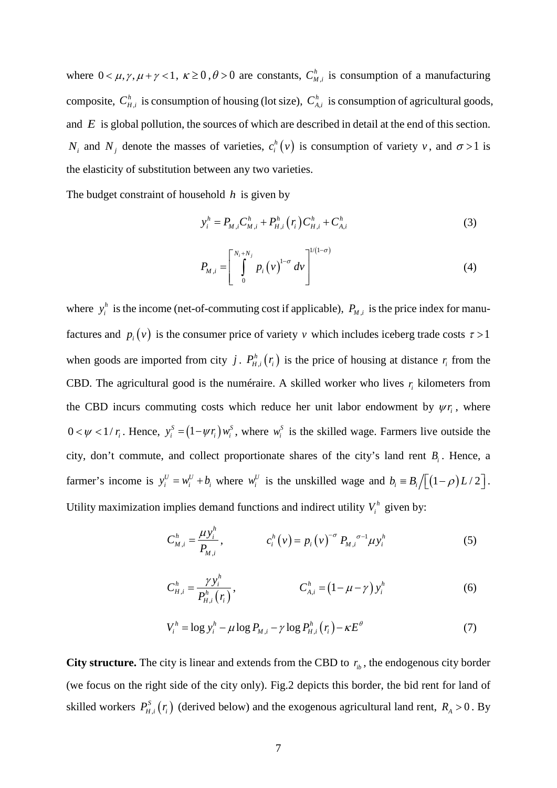where  $0 < \mu, \gamma, \mu + \gamma < 1$ ,  $\kappa \ge 0$ ,  $\theta > 0$  are constants,  $C_{M,i}^{h}$  is consumption of a manufacturing composite,  $C_{H,i}^{h}$  is consumption of housing (lot size),  $C_{A,i}^{h}$  is consumption of agricultural goods, and *E* is global pollution, the sources of which are described in detail at the end of this section. *N<sub>i</sub>* and *N<sub>j</sub>* denote the masses of varieties,  $c_i^h(v)$  is consumption of variety *v*, and  $\sigma > 1$  is the elasticity of substitution between any two varieties.

The budget constraint of household *h* is given by

$$
y_i^h = P_{M,i} C_{M,i}^h + P_{H,i}^h \left( r_i \right) C_{H,i}^h + C_{A,i}^h \tag{3}
$$

$$
P_{M,i} = \left[ \int_{0}^{N_{i}+N_{j}} p_{i} (v)^{1-\sigma} dv \right]^{1/(1-\sigma)}
$$
(4)

where  $y_i^h$  is the income (net-of-commuting cost if applicable),  $P_{M,i}$  is the price index for manufactures and  $p_i(v)$  is the consumer price of variety *v* which includes iceberg trade costs  $\tau > 1$ when goods are imported from city *j*.  $P_{H,i}^{h}(r_i)$  is the price of housing at distance  $r_i$  from the CBD. The agricultural good is the numéraire. A skilled worker who lives  $r_i$  kilometers from the CBD incurs commuting costs which reduce her unit labor endowment by  $\psi r_i$ , where  $0 < \psi < 1/r_i$ . Hence,  $y_i^s = (1 - \psi r_i) w_i^s$ , where  $w_i^s$  is the skilled wage. Farmers live outside the city, don't commute, and collect proportionate shares of the city's land rent *B<sub>i</sub>*. Hence, a farmer's income is  $y_i^U = w_i^U + b_i$  where  $w_i^U$  is the unskilled wage and  $b_i = B_i / \left[ (1 - \rho) L / 2 \right]$ . Utility maximization implies demand functions and indirect utility  $V_i^h$  given by:

$$
C_{M,i}^{h} = \frac{\mu y_{i}^{h}}{P_{M,i}}, \qquad c_{i}^{h}(v) = p_{i}(v)^{-\sigma} P_{M,i}^{\sigma-1} \mu y_{i}^{h}
$$
 (5)

$$
C_{H,i}^{h} = \frac{\gamma y_i^{h}}{P_{H,i}^{h}(r_i)}, \qquad C_{A,i}^{h} = (1 - \mu - \gamma) y_i^{h}
$$
 (6)

$$
V_i^h = \log y_i^h - \mu \log P_{M,i} - \gamma \log P_{H,i}^h(\mathbf{r}_i) - \kappa E^\theta \tag{7}
$$

**City structure.** The city is linear and extends from the CBD to  $r_{ib}$ , the endogenous city border (we focus on the right side of the city only). Fig.2 depicts this border, the bid rent for land of skilled workers  $P_{H,i}^S(r_i)$  (derived below) and the exogenous agricultural land rent,  $R_A > 0$ . By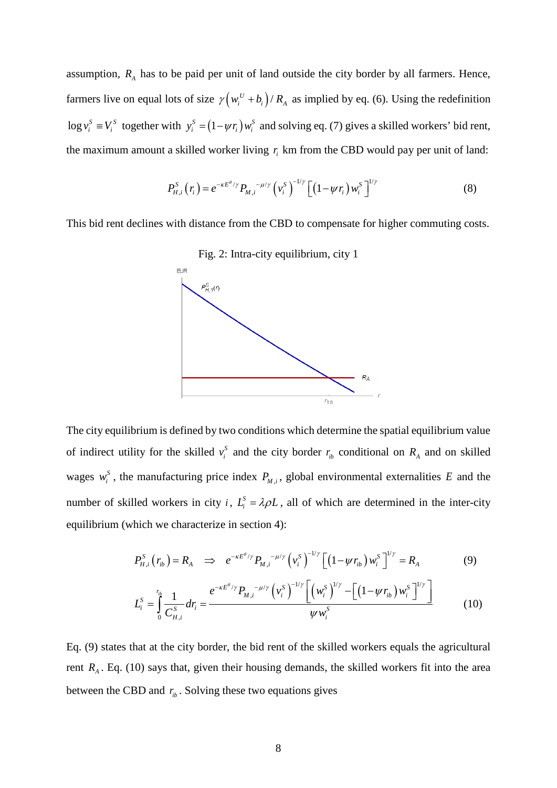assumption,  $R_A$  has to be paid per unit of land outside the city border by all farmers. Hence, farmers live on equal lots of size  $\gamma ( w_i^U + b_i ) / R_A$  as implied by eq. (6). Using the redefinition  $\log v_i^S = V_i^S$  together with  $y_i^S = (1 - \psi r_i) w_i^S$  and solving eq. (7) gives a skilled workers' bid rent, the maximum amount a skilled worker living  $r<sub>i</sub>$  km from the CBD would pay per unit of land:

$$
P_{H,i}^{S}(r_{i}) = e^{-\kappa E^{\theta}/\gamma} P_{M,i}^{\ \ -\mu/\gamma} \left(\nu_{i}^{S}\right)^{-1/\gamma} \left[ \left(1 - \psi r_{i}\right) \nu_{i}^{S}\right]^{1/\gamma} \tag{8}
$$

This bid rent declines with distance from the CBD to compensate for higher commuting costs.



Fig. 2: Intra-city equilibrium, city 1

The city equilibrium is defined by two conditions which determine the spatial equilibrium value of indirect utility for the skilled  $v_i^S$  and the city border  $r_{ib}$  conditional on  $R_A$  and on skilled wages  $w_i^S$ , the manufacturing price index  $P_{M,i}$ , global environmental externalities E and the number of skilled workers in city *i*,  $L_i^S = \lambda \rho L$ , all of which are determined in the inter-city equilibrium (which we characterize in section 4):

$$
P_{H,i}^{S}(r_{ib}) = R_{A} \implies e^{-\kappa E^{\theta}/\gamma} P_{M,i}^{\quad -\mu/\gamma} \left(v_{i}^{S}\right)^{-1/\gamma} \left[\left(1 - \psi r_{ib}\right) w_{i}^{S}\right]^{1/\gamma} = R_{A} \tag{9}
$$

$$
L_i^S = \int_0^{r_{ib}} \frac{1}{C_{H,i}^S} dr_i = \frac{e^{-\kappa E^{\theta/\gamma}} P_{M,i}^{(-\mu/\gamma)} \left(v_i^S\right)^{-1/\gamma} \left[\left(w_i^S\right)^{1/\gamma} - \left[\left(1 - \psi r_{ib}\right)w_i^S\right]^{1/\gamma}\right]}{\psi w_i^S}
$$
(10)

Eq. (9) states that at the city border, the bid rent of the skilled workers equals the agricultural rent  $R_A$ . Eq. (10) says that, given their housing demands, the skilled workers fit into the area between the CBD and  $r_b$ . Solving these two equations gives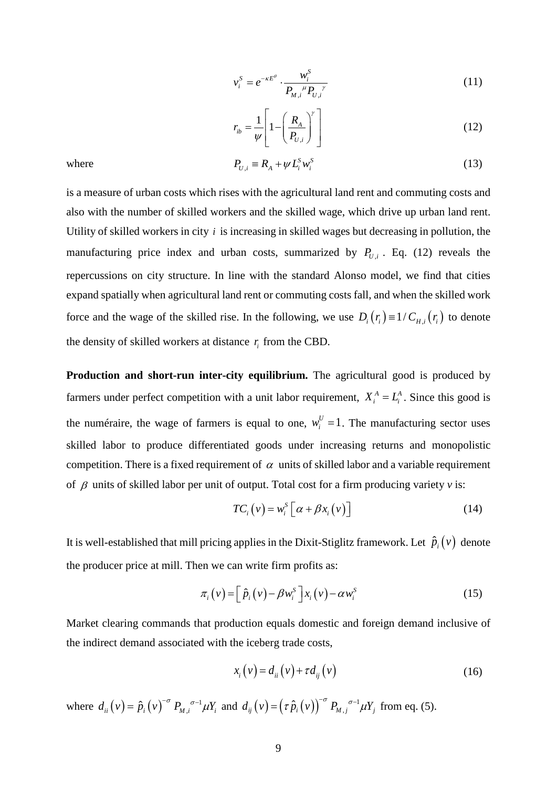$$
v_i^S = e^{-\kappa E^{\theta}} \cdot \frac{w_i^S}{P_{M,i}^{\mu} P_{U,i}^{\nu}}
$$
 (11)

$$
r_{ib} = \frac{1}{\psi} \left[ 1 - \left( \frac{R_A}{P_{U,i}} \right)^{\gamma} \right]
$$
 (12)

where

$$
P_{U,i} \equiv R_A + \psi L_i^S w_i^S \tag{13}
$$

is a measure of urban costs which rises with the agricultural land rent and commuting costs and also with the number of skilled workers and the skilled wage, which drive up urban land rent. Utility of skilled workers in city *i* is increasing in skilled wages but decreasing in pollution, the manufacturing price index and urban costs, summarized by  $P_{U,i}$ . Eq. (12) reveals the repercussions on city structure. In line with the standard Alonso model, we find that cities expand spatially when agricultural land rent or commuting costs fall, and when the skilled work force and the wage of the skilled rise. In the following, we use  $D_i(r_i) = 1/C_{H,i}(r_i)$  to denote the density of skilled workers at distance *ir* from the CBD.

**Production and short-run inter-city equilibrium.** The agricultural good is produced by farmers under perfect competition with a unit labor requirement,  $X_i^A = L_i^A$ . Since this good is the numéraire, the wage of farmers is equal to one,  $w_i^U = 1$ . The manufacturing sector uses skilled labor to produce differentiated goods under increasing returns and monopolistic competition. There is a fixed requirement of  $\alpha$  units of skilled labor and a variable requirement of β units of skilled labor per unit of output. Total cost for a firm producing variety *v* is:

$$
TC_i(v) = w_i^S \left[ \alpha + \beta x_i(v) \right] \tag{14}
$$

It is well-established that mill pricing applies in the Dixit-Stiglitz framework. Let  $\hat{p}_i(v)$  denote the producer price at mill. Then we can write firm profits as:

$$
\pi_i(v) = \left[\hat{p}_i(v) - \beta w_i^s\right] x_i(v) - \alpha w_i^s \tag{15}
$$

Market clearing commands that production equals domestic and foreign demand inclusive of the indirect demand associated with the iceberg trade costs,

$$
x_i(v) = d_{ii}(v) + \tau d_{ij}(v) \tag{16}
$$

where  $d_{ii}(v) = \hat{p}_i(v)^{-\sigma} P_{M,i}^{\sigma-1} \mu Y_i$  and  $d_{ij}(v) = (\tau \hat{p}_i(v))^{\sigma} P_{M,j}^{\sigma-1} \mu Y_j$  from eq. (5).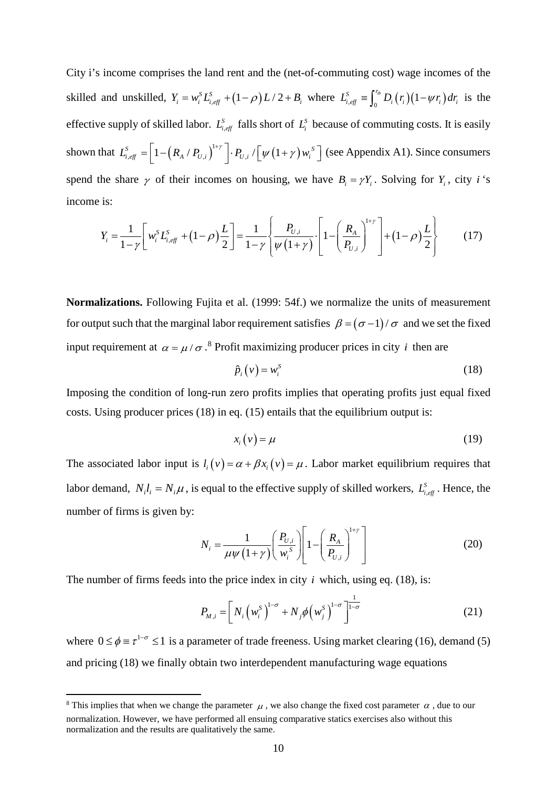City i's income comprises the land rent and the (net-of-commuting cost) wage incomes of the skilled and unskilled,  $Y_i = w_i^S L_{i, \text{eff}}^S + (1 - \rho)L/2 + B_i$ , where  $L_{i, \text{eff}}^S = \int_0^{r_{ib}} D_i(r_i)(1 - \psi r_i) dr_i$  is the effective supply of skilled labor.  $L_{i, eff}^S$  falls short of  $L_i^S$  because of commuting costs. It is easily shown that  $L_{i, eff}^s = \left[1 - \left(R_A / P_{U,i}\right)^{1+\gamma}\right] \cdot P_{U,i} / \left[\psi\left(1+\gamma\right) w_i^s\right]$  (see Appendix A1). Since consumers spend the share  $\gamma$  of their incomes on housing, we have  $B_i = \gamma Y_i$ . Solving for  $Y_i$ , city *i* 's income is:

$$
Y_i = \frac{1}{1-\gamma} \left[ w_i^S L_{i,eff}^S + (1-\rho) \frac{L}{2} \right] = \frac{1}{1-\gamma} \left\{ \frac{P_{U,i}}{\psi(1+\gamma)} \cdot \left[ 1 - \left( \frac{R_A}{P_{U,i}} \right)^{1+\gamma} \right] + (1-\rho) \frac{L}{2} \right\}
$$
(17)

**Normalizations.** Following Fujita et al. (1999: 54f.) we normalize the units of measurement for output such that the marginal labor requirement satisfies  $\beta = (\sigma - 1)/\sigma$  and we set the fixed input requirement at  $\alpha = \mu / \sigma$ .<sup>[8](#page-12-0)</sup> Profit maximizing producer prices in city *i* then are

$$
\hat{p}_i(v) = w_i^s \tag{18}
$$

Imposing the condition of long-run zero profits implies that operating profits just equal fixed costs. Using producer prices (18) in eq. (15) entails that the equilibrium output is:

$$
x_i(v) = \mu \tag{19}
$$

The associated labor input is  $l_i(v) = \alpha + \beta x_i(v) = \mu$ . Labor market equilibrium requires that labor demand,  $N_i l_i = N_i \mu$ , is equal to the effective supply of skilled workers,  $L_{i, eff}^S$ . Hence, the number of firms is given by:

$$
N_i = \frac{1}{\mu \psi \left(1 + \gamma\right)} \left(\frac{P_{U,i}}{w_i^S}\right) \left[1 - \left(\frac{R_A}{P_{U,i}}\right)^{1+\gamma}\right]
$$
(20)

The number of firms feeds into the price index in city  $i$  which, using eq. (18), is:

$$
P_{M,i} = \left[ N_i \left( w_i^S \right)^{1-\sigma} + N_j \phi \left( w_j^S \right)^{1-\sigma} \right]^{1-\sigma}
$$
 (21)

where  $0 \le \phi \equiv \tau^{1-\sigma} \le 1$  is a parameter of trade freeness. Using market clearing (16), demand (5) and pricing (18) we finally obtain two interdependent manufacturing wage equations

<span id="page-12-0"></span><sup>&</sup>lt;sup>8</sup> This implies that when we change the parameter  $\mu$ , we also change the fixed cost parameter  $\alpha$ , due to our normalization. However, we have performed all ensuing comparative statics exercises also without this normalization and the results are qualitatively the same.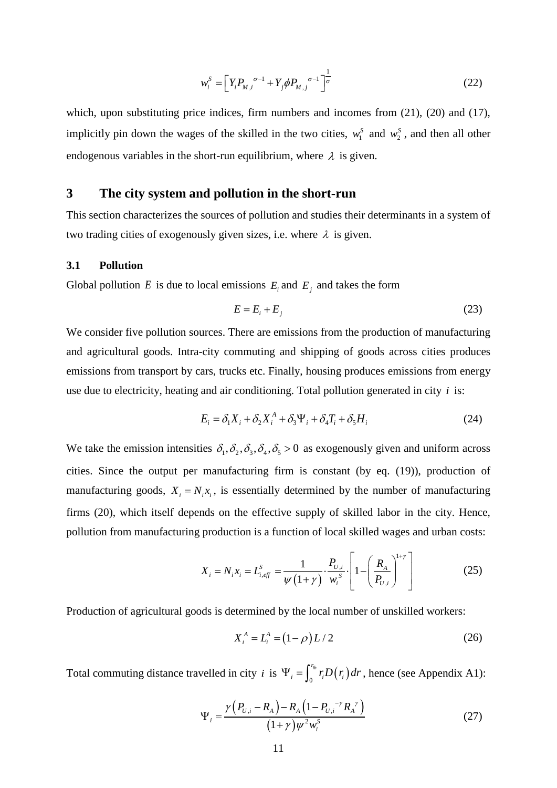$$
w_i^S = \left[ Y_i P_{M,i}^{\ \sigma^{-1}} + Y_j \phi P_{M,j}^{\ \sigma^{-1}} \right]^{\frac{1}{\sigma}}
$$
 (22)

which, upon substituting price indices, firm numbers and incomes from (21), (20) and (17), implicitly pin down the wages of the skilled in the two cities,  $w_1^S$  and  $w_2^S$ , and then all other endogenous variables in the short-run equilibrium, where  $\lambda$  is given.

#### **3 The city system and pollution in the short-run**

This section characterizes the sources of pollution and studies their determinants in a system of two trading cities of exogenously given sizes, i.e. where  $\lambda$  is given.

#### **3.1 Pollution**

Global pollution *E* is due to local emissions  $E_i$  and  $E_j$  and takes the form

$$
E = E_i + E_j \tag{23}
$$

We consider five pollution sources. There are emissions from the production of manufacturing and agricultural goods. Intra-city commuting and shipping of goods across cities produces emissions from transport by cars, trucks etc. Finally, housing produces emissions from energy use due to electricity, heating and air conditioning. Total pollution generated in city  $i$  is:

$$
E_i = \delta_1 X_i + \delta_2 X_i^A + \delta_3 \Psi_i + \delta_4 T_i + \delta_5 H_i
$$
\n(24)

We take the emission intensities  $\delta_1, \delta_2, \delta_3, \delta_4, \delta_5 > 0$  as exogenously given and uniform across cities. Since the output per manufacturing firm is constant (by eq. (19)), production of manufacturing goods,  $X_i = N_i x_i$ , is essentially determined by the number of manufacturing firms (20), which itself depends on the effective supply of skilled labor in the city. Hence, pollution from manufacturing production is a function of local skilled wages and urban costs:

$$
X_{i} = N_{i}x_{i} = L_{i,eff}^{S} = \frac{1}{\psi(1+\gamma)} \cdot \frac{P_{U,i}}{w_{i}^{S}} \cdot \left[1 - \left(\frac{R_{A}}{P_{U,i}}\right)^{1+\gamma}\right]
$$
(25)

Production of agricultural goods is determined by the local number of unskilled workers:

$$
X_i^A = L_i^A = (1 - \rho)L/2
$$
 (26)

Total commuting distance travelled in city *i* is  $\Psi_i = \int_0^{r_{ib}} r_i D(r_i) dr$ , hence (see Appendix A1):

$$
\Psi_{i} = \frac{\gamma (P_{U,i} - R_{A}) - R_{A} (1 - P_{U,i}^{-\gamma} R_{A}^{\gamma})}{(1 + \gamma) \psi^{2} w_{i}^{S}}
$$
(27)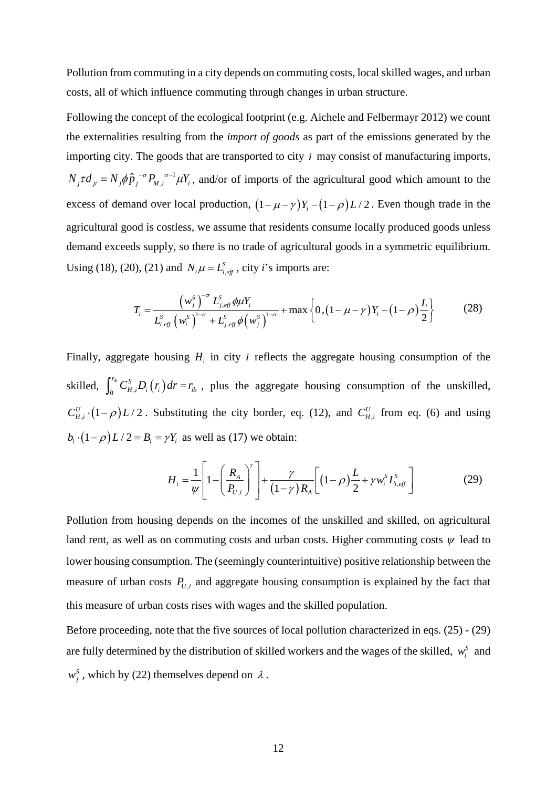Pollution from commuting in a city depends on commuting costs, local skilled wages, and urban costs, all of which influence commuting through changes in urban structure.

Following the concept of the ecological footprint (e.g. Aichele and Felbermayr 2012) we count the externalities resulting from the *import of goods* as part of the emissions generated by the importing city. The goods that are transported to city *i* may consist of manufacturing imports,  $N_j \tau d_{ji} = N_j \phi \hat{p}_j^{-\sigma} P_{M,i}^{\ \sigma^{-1}} \mu Y_i$ , and/or of imports of the agricultural good which amount to the excess of demand over local production,  $(1 - \mu - \gamma)Y_i - (1 - \rho)L/2$ . Even though trade in the agricultural good is costless, we assume that residents consume locally produced goods unless demand exceeds supply, so there is no trade of agricultural goods in a symmetric equilibrium. Using (18), (20), (21) and  $N_i \mu = L_{i, \text{eff}}^s$ , city *i*'s imports are:

$$
T_{i} = \frac{\left(w_{j}^{S}\right)^{-\sigma} L_{j,eff}^{S} \phi \mu Y_{i}}{L_{i,eff}^{S} \left(w_{i}^{S}\right)^{1-\sigma} + L_{j,eff}^{S} \phi \left(w_{j}^{S}\right)^{1-\sigma}} + \max \left\{0, \left(1 - \mu - \gamma\right) Y_{i} - \left(1 - \rho\right) \frac{L}{2}\right\}
$$
(28)

Finally, aggregate housing  $H_i$  in city  $i$  reflects the aggregate housing consumption of the skilled,  $\int_0^{r_b} C_{H,i}^S D_i(r_i) dr = r_b$ , plus the aggregate housing consumption of the unskilled,  $C_{H,i}^U$  ·  $(1-\rho)L/2$ . Substituting the city border, eq. (12), and  $C_{H,i}^U$  from eq. (6) and using  $b_i \cdot (1 - \rho) L / 2 = B_i = \gamma Y_i$  as well as (17) we obtain:

$$
H_{i} = \frac{1}{\psi} \left[ 1 - \left( \frac{R_{A}}{P_{U,i}} \right)^{\gamma} \right] + \frac{\gamma}{(1 - \gamma) R_{A}} \left[ (1 - \rho) \frac{L}{2} + \gamma w_{i}^{S} L_{i,eff}^{S} \right]
$$
(29)

Pollution from housing depends on the incomes of the unskilled and skilled, on agricultural land rent, as well as on commuting costs and urban costs. Higher commuting costs  $\psi$  lead to lower housing consumption. The (seemingly counterintuitive) positive relationship between the measure of urban costs  $P_{U,i}$  and aggregate housing consumption is explained by the fact that this measure of urban costs rises with wages and the skilled population.

Before proceeding, note that the five sources of local pollution characterized in eqs. (25) - (29) are fully determined by the distribution of skilled workers and the wages of the skilled,  $w_i^s$  and  $w_i^S$ , which by (22) themselves depend on  $\lambda$ .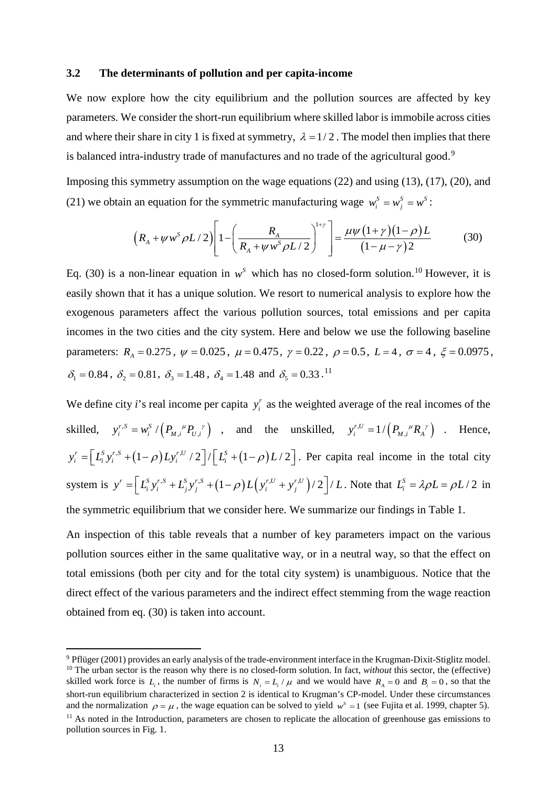#### **3.2 The determinants of pollution and per capita-income**

We now explore how the city equilibrium and the pollution sources are affected by key parameters. We consider the short-run equilibrium where skilled labor is immobile across cities and where their share in city 1 is fixed at symmetry,  $\lambda = 1/2$ . The model then implies that there is balanced intra-industry trade of manufactures and no trade of the agricultural good.<sup>[9](#page-15-0)</sup>

Imposing this symmetry assumption on the wage equations (22) and using (13), (17), (20), and (21) we obtain an equation for the symmetric manufacturing wage  $w_i^s = w_i^s = w_i^s$ :

$$
\left(R_A + \psi w^s \rho L/2\right) \left[1 - \left(\frac{R_A}{R_A + \psi w^s \rho L/2}\right)^{1+\gamma}\right] = \frac{\mu \psi (1+\gamma)(1-\rho)L}{(1-\mu-\gamma)2}
$$
(30)

Eq. (30) is a non-linear equation in  $w^s$  which has no closed-form solution.<sup>[10](#page-15-1)</sup> However, it is easily shown that it has a unique solution. We resort to numerical analysis to explore how the exogenous parameters affect the various pollution sources, total emissions and per capita incomes in the two cities and the city system. Here and below we use the following baseline parameters:  $R_A = 0.275$ ,  $\psi = 0.025$ ,  $\mu = 0.475$ ,  $\gamma = 0.22$ ,  $\rho = 0.5$ ,  $L = 4$ ,  $\sigma = 4$ ,  $\xi = 0.0975$ ,  $\delta_1 = 0.84$ ,  $\delta_2 = 0.81$ ,  $\delta_3 = 1.48$ ,  $\delta_4 = 1.48$  and  $\delta_5 = 0.33$ .<sup>[11](#page-15-2)</sup>

We define city *i*'s real income per capita  $y_i^r$  as the weighted average of the real incomes of the skilled,  $y_i^{r,s} = w_i^s / (P_{M,i}^{\mu} P_{U,i}^{\nu})$ , and the unskilled,  $y_i^{r,U} = 1 / (P_{M,i}^{\mu} R_{A}^{\nu})$ . Hence,  $y_i^r = \left[ L_i^S y_i^{r,S} + (1-\rho) L y_i^{r,U} / 2 \right] / \left[ L_i^S + (1-\rho) L / 2 \right]$ . Per capita real income in the total city system is  $y' = \left[ L_i^S y_i^{r,S} + L_j^S y_j^{r,S} + (1 - \rho) L(y_i^{r,U} + y_j^{r,U}) / 2 \right] / L$ . Note that  $L_i^S = \lambda \rho L = \rho L / 2$  in the symmetric equilibrium that we consider here. We summarize our findings in Table 1.

An inspection of this table reveals that a number of key parameters impact on the various

pollution sources either in the same qualitative way, or in a neutral way, so that the effect on total emissions (both per city and for the total city system) is unambiguous. Notice that the direct effect of the various parameters and the indirect effect stemming from the wage reaction obtained from eq. (30) is taken into account.

<span id="page-15-2"></span><span id="page-15-1"></span><span id="page-15-0"></span> <sup>9</sup> Pflüger (2001) provides an early analysis of the trade-environment interface in the Krugman-Dixit-Stiglitz model. <sup>10</sup> The urban sector is the reason why there is no closed-form solution. In fact, *without* this sector, the (effective) skilled work force is  $L_i$ , the number of firms is  $N_i = L_i / \mu$  and we would have  $R_i = 0$  and  $B_i = 0$ , so that the short-run equilibrium characterized in section 2 is identical to Krugman's CP-model. Under these circumstances and the normalization  $\rho = \mu$ , the wage equation can be solved to yield  $w^s = 1$  (see Fujita et al. 1999, chapter 5). <sup>11</sup> As noted in the Introduction, parameters are chosen to replicate the allocation of greenhouse gas emissions to pollution sources in Fig. 1.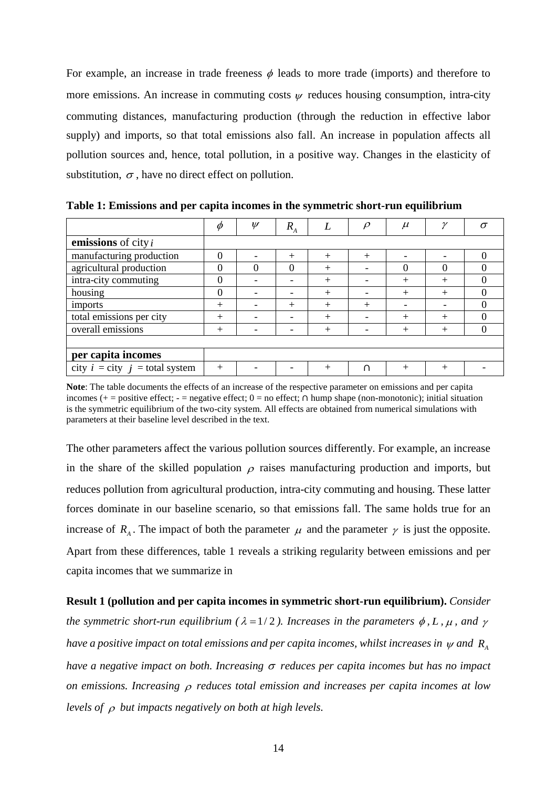For example, an increase in trade freeness  $\phi$  leads to more trade (imports) and therefore to more emissions. An increase in commuting costs  $\psi$  reduces housing consumption, intra-city commuting distances, manufacturing production (through the reduction in effective labor supply) and imports, so that total emissions also fall. An increase in population affects all pollution sources and, hence, total pollution, in a positive way. Changes in the elasticity of substitution,  $\sigma$ , have no direct effect on pollution.

|                                                 | $\phi$   | $\psi$                   | $R_{A}$                  |        | $\rho$ | $\mu$        | $\gamma$ |  |
|-------------------------------------------------|----------|--------------------------|--------------------------|--------|--------|--------------|----------|--|
| emissions of city $i$                           |          |                          |                          |        |        |              |          |  |
| manufacturing production                        | $\theta$ |                          | $^{+}$                   | $^{+}$ | $^{+}$ |              |          |  |
| agricultural production                         | $\theta$ | 0                        | $\theta$                 | $+$    |        | 0            | $\theta$ |  |
| intra-city commuting                            | $\theta$ | $\overline{\phantom{0}}$ | $\overline{\phantom{0}}$ | $+$    |        | $\mathrm{+}$ | $^{+}$   |  |
| housing                                         | $\theta$ | $\overline{\phantom{a}}$ | -                        | $+$    |        | $\mathrm{+}$ | $^{+}$   |  |
| imports                                         | $^{+}$   | $\overline{\phantom{a}}$ | $+$                      | $+$    | $^{+}$ |              |          |  |
| total emissions per city                        | $^{+}$   |                          | $\overline{\phantom{0}}$ | $^{+}$ |        | $^{+}$       | $^{+}$   |  |
| overall emissions                               | $\, +$   | $\overline{\phantom{0}}$ |                          | $^{+}$ |        | $^+$         | $^{+}$   |  |
|                                                 |          |                          |                          |        |        |              |          |  |
| per capita incomes                              |          |                          |                          |        |        |              |          |  |
| city $i = \text{city } j = \text{total system}$ | $^{+}$   |                          |                          | $^+$   |        | ┿            |          |  |

**Table 1: Emissions and per capita incomes in the symmetric short-run equilibrium**

**Note**: The table documents the effects of an increase of the respective parameter on emissions and per capita incomes (+ = positive effect; - = negative effect; 0 = no effect;  $\Omega$  hump shape (non-monotonic); initial situation is the symmetric equilibrium of the two-city system. All effects are obtained from numerical simulations with parameters at their baseline level described in the text.

The other parameters affect the various pollution sources differently. For example, an increase in the share of the skilled population  $\rho$  raises manufacturing production and imports, but reduces pollution from agricultural production, intra-city commuting and housing. These latter forces dominate in our baseline scenario, so that emissions fall. The same holds true for an increase of  $R_{\mu}$ . The impact of both the parameter  $\mu$  and the parameter  $\gamma$  is just the opposite. Apart from these differences, table 1 reveals a striking regularity between emissions and per capita incomes that we summarize in

**Result 1 (pollution and per capita incomes in symmetric short-run equilibrium).** *Consider the symmetric short-run equilibrium (* $\lambda = 1/2$ ). Increases in the parameters  $\phi$ , L,  $\mu$ , and  $\gamma$ *have a positive impact on total emissions and per capita incomes, whilst increases in*  $\psi$  *and R<sub>A</sub> have a negative impact on both. Increasing* <sup>σ</sup> *reduces per capita incomes but has no impact on emissions. Increasing* <sup>ρ</sup> *reduces total emission and increases per capita incomes at low levels of* <sup>ρ</sup> *but impacts negatively on both at high levels.*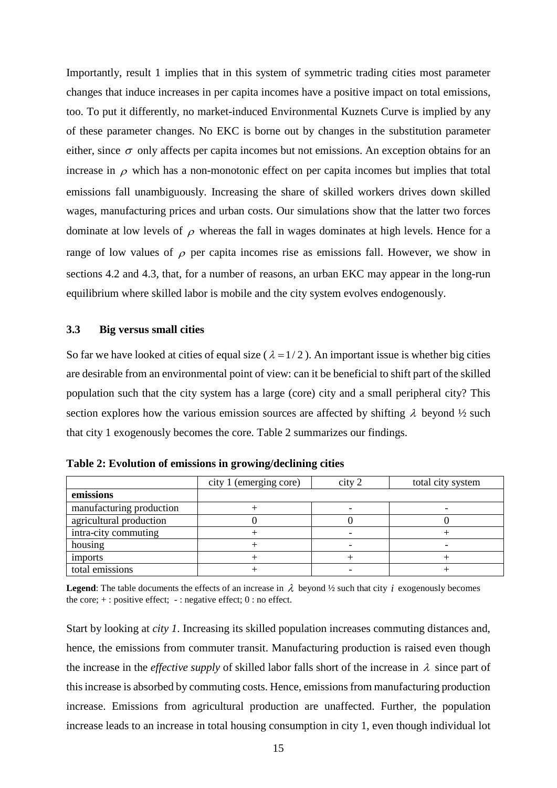Importantly, result 1 implies that in this system of symmetric trading cities most parameter changes that induce increases in per capita incomes have a positive impact on total emissions, too. To put it differently, no market-induced Environmental Kuznets Curve is implied by any of these parameter changes. No EKC is borne out by changes in the substitution parameter either, since  $\sigma$  only affects per capita incomes but not emissions. An exception obtains for an increase in  $\rho$  which has a non-monotonic effect on per capita incomes but implies that total emissions fall unambiguously. Increasing the share of skilled workers drives down skilled wages, manufacturing prices and urban costs. Our simulations show that the latter two forces dominate at low levels of  $\rho$  whereas the fall in wages dominates at high levels. Hence for a range of low values of  $\rho$  per capita incomes rise as emissions fall. However, we show in sections 4.2 and 4.3, that, for a number of reasons, an urban EKC may appear in the long-run equilibrium where skilled labor is mobile and the city system evolves endogenously.

#### **3.3 Big versus small cities**

So far we have looked at cities of equal size ( $\lambda = 1/2$ ). An important issue is whether big cities are desirable from an environmental point of view: can it be beneficial to shift part of the skilled population such that the city system has a large (core) city and a small peripheral city? This section explores how the various emission sources are affected by shifting  $\lambda$  beyond  $\frac{1}{2}$  such that city 1 exogenously becomes the core. Table 2 summarizes our findings.

|                          | city 1 (emerging core) | city 2 | total city system |  |
|--------------------------|------------------------|--------|-------------------|--|
| emissions                |                        |        |                   |  |
| manufacturing production |                        |        |                   |  |
| agricultural production  |                        |        |                   |  |
| intra-city commuting     |                        |        |                   |  |
| housing                  |                        |        |                   |  |
| imports                  |                        |        |                   |  |
| total emissions          |                        |        |                   |  |

**Table 2: Evolution of emissions in growing/declining cities**

**Legend**: The table documents the effects of an increase in  $\lambda$  beyond  $\frac{1}{2}$  such that city *i* exogenously becomes the core;  $+$ : positive effect;  $-$ : negative effect; 0 : no effect.

Start by looking at *city 1*. Increasing its skilled population increases commuting distances and, hence, the emissions from commuter transit. Manufacturing production is raised even though the increase in the *effective supply* of skilled labor falls short of the increase in  $\lambda$  since part of this increase is absorbed by commuting costs. Hence, emissions from manufacturing production increase. Emissions from agricultural production are unaffected. Further, the population increase leads to an increase in total housing consumption in city 1, even though individual lot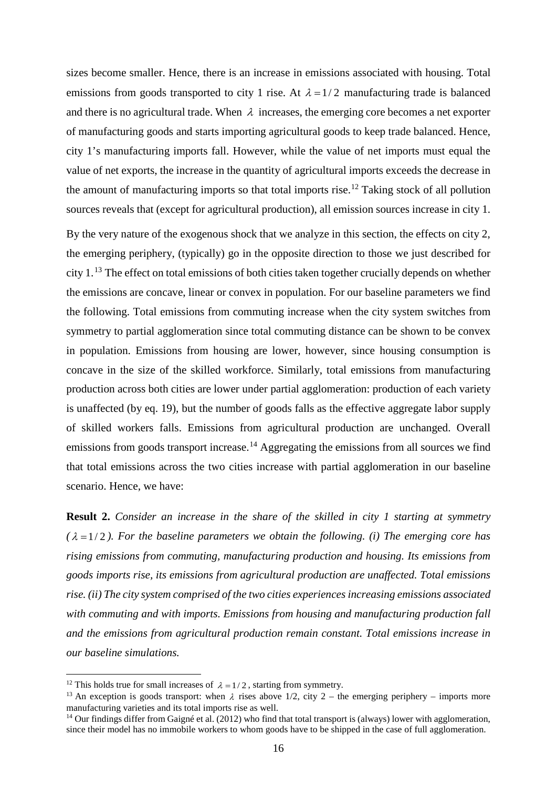sizes become smaller. Hence, there is an increase in emissions associated with housing. Total emissions from goods transported to city 1 rise. At  $\lambda = 1/2$  manufacturing trade is balanced and there is no agricultural trade. When  $\lambda$  increases, the emerging core becomes a net exporter of manufacturing goods and starts importing agricultural goods to keep trade balanced. Hence, city 1's manufacturing imports fall. However, while the value of net imports must equal the value of net exports, the increase in the quantity of agricultural imports exceeds the decrease in the amount of manufacturing imports so that total imports rise.<sup>[12](#page-18-0)</sup> Taking stock of all pollution sources reveals that (except for agricultural production), all emission sources increase in city 1.

By the very nature of the exogenous shock that we analyze in this section, the effects on city 2, the emerging periphery, (typically) go in the opposite direction to those we just described for city 1.<sup>[13](#page-18-1)</sup> The effect on total emissions of both cities taken together crucially depends on whether the emissions are concave, linear or convex in population. For our baseline parameters we find the following. Total emissions from commuting increase when the city system switches from symmetry to partial agglomeration since total commuting distance can be shown to be convex in population. Emissions from housing are lower, however, since housing consumption is concave in the size of the skilled workforce. Similarly, total emissions from manufacturing production across both cities are lower under partial agglomeration: production of each variety is unaffected (by eq. 19), but the number of goods falls as the effective aggregate labor supply of skilled workers falls. Emissions from agricultural production are unchanged. Overall emissions from goods transport increase.<sup>[14](#page-18-2)</sup> Aggregating the emissions from all sources we find that total emissions across the two cities increase with partial agglomeration in our baseline scenario. Hence, we have:

**Result 2.** *Consider an increase in the share of the skilled in city 1 starting at symmetry*  $(\lambda = 1/2)$ *. For the baseline parameters we obtain the following. (i) The emerging core has rising emissions from commuting, manufacturing production and housing. Its emissions from goods imports rise, its emissions from agricultural production are unaffected. Total emissions rise. (ii) The city system comprised of the two cities experiences increasing emissions associated with commuting and with imports. Emissions from housing and manufacturing production fall and the emissions from agricultural production remain constant. Total emissions increase in our baseline simulations.*

<span id="page-18-0"></span><sup>&</sup>lt;sup>12</sup> This holds true for small increases of  $\lambda = 1/2$ , starting from symmetry.

<span id="page-18-1"></span><sup>&</sup>lt;sup>13</sup> An exception is goods transport: when  $\lambda$  rises above 1/2, city 2 – the emerging periphery – imports more manufacturing varieties and its total imports rise as well.

<span id="page-18-2"></span><sup>&</sup>lt;sup>14</sup> Our findings differ from Gaigné et al. (2012) who find that total transport is (always) lower with agglomeration, since their model has no immobile workers to whom goods have to be shipped in the case of full agglomeration.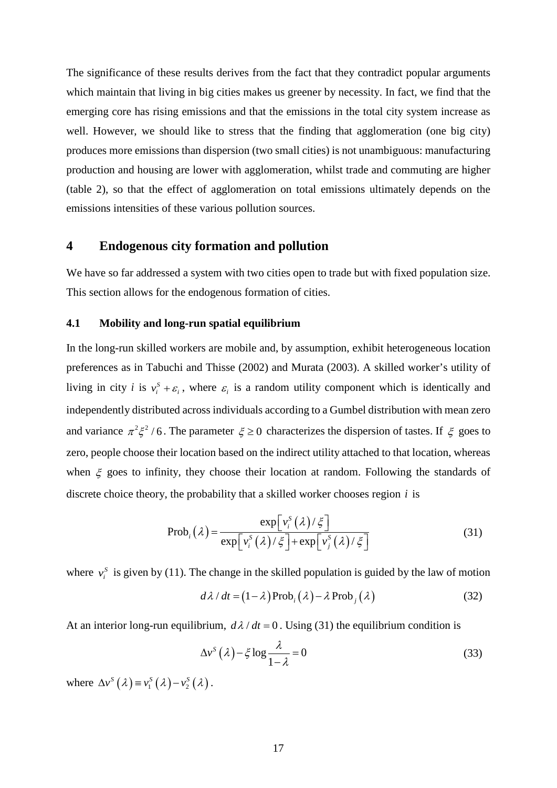The significance of these results derives from the fact that they contradict popular arguments which maintain that living in big cities makes us greener by necessity. In fact, we find that the emerging core has rising emissions and that the emissions in the total city system increase as well. However, we should like to stress that the finding that agglomeration (one big city) produces more emissions than dispersion (two small cities) is not unambiguous: manufacturing production and housing are lower with agglomeration, whilst trade and commuting are higher (table 2), so that the effect of agglomeration on total emissions ultimately depends on the emissions intensities of these various pollution sources.

#### **4 Endogenous city formation and pollution**

We have so far addressed a system with two cities open to trade but with fixed population size. This section allows for the endogenous formation of cities.

#### **4.1 Mobility and long-run spatial equilibrium**

In the long-run skilled workers are mobile and, by assumption, exhibit heterogeneous location preferences as in Tabuchi and Thisse (2002) and Murata (2003). A skilled worker's utility of living in city *i* is  $v_i^s + \varepsilon_i$ , where  $\varepsilon_i$  is a random utility component which is identically and independently distributed across individuals according to a Gumbel distribution with mean zero and variance  $\pi^2 \xi^2 / 6$ . The parameter  $\xi \ge 0$  characterizes the dispersion of tastes. If  $\xi$  goes to zero, people choose their location based on the indirect utility attached to that location, whereas when  $\xi$  goes to infinity, they choose their location at random. Following the standards of discrete choice theory, the probability that a skilled worker chooses region *i* is

$$
\text{Prob}_{i}(\lambda) = \frac{\exp[\nu_{i}^{S}(\lambda)/\xi]}{\exp[\nu_{i}^{S}(\lambda)/\xi] + \exp[\nu_{j}^{S}(\lambda)/\xi]}
$$
(31)

where  $v_i^s$  is given by (11). The change in the skilled population is guided by the law of motion

$$
d\lambda / dt = (1 - \lambda) \text{Prob}_i(\lambda) - \lambda \text{Prob}_j(\lambda)
$$
 (32)

At an interior long-run equilibrium,  $d\lambda/dt = 0$ . Using (31) the equilibrium condition is

$$
\Delta v^S(\lambda) - \xi \log \frac{\lambda}{1 - \lambda} = 0
$$
 (33)

where  $\Delta v^S(\lambda) = v_1^S(\lambda) - v_2^S(\lambda)$ .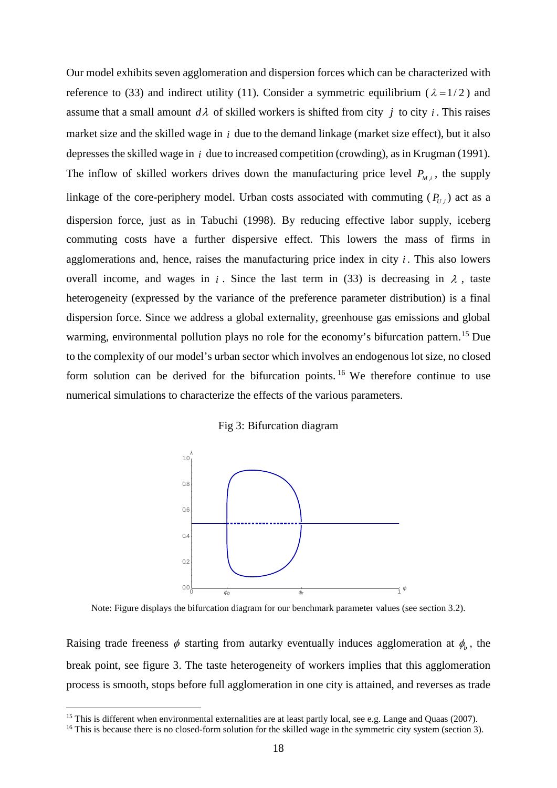Our model exhibits seven agglomeration and dispersion forces which can be characterized with reference to (33) and indirect utility (11). Consider a symmetric equilibrium ( $\lambda = 1/2$ ) and assume that a small amount  $d\lambda$  of skilled workers is shifted from city *j* to city *i*. This raises market size and the skilled wage in *i* due to the demand linkage (market size effect), but it also depresses the skilled wage in *i* due to increased competition (crowding), as in Krugman (1991). The inflow of skilled workers drives down the manufacturing price level  $P_{M,i}$ , the supply linkage of the core-periphery model. Urban costs associated with commuting  $(P_{U,i})$  act as a dispersion force, just as in Tabuchi (1998). By reducing effective labor supply, iceberg commuting costs have a further dispersive effect. This lowers the mass of firms in agglomerations and, hence, raises the manufacturing price index in city *i* . This also lowers overall income, and wages in *i*. Since the last term in (33) is decreasing in  $\lambda$ , taste heterogeneity (expressed by the variance of the preference parameter distribution) is a final dispersion force. Since we address a global externality, greenhouse gas emissions and global warming, environmental pollution plays no role for the economy's bifurcation pattern.<sup>[15](#page-20-0)</sup> Due to the complexity of our model's urban sector which involves an endogenous lot size, no closed form solution can be derived for the bifurcation points. <sup>[16](#page-20-1)</sup> We therefore continue to use numerical simulations to characterize the effects of the various parameters.

#### Fig 3: Bifurcation diagram



Note: Figure displays the bifurcation diagram for our benchmark parameter values (see section 3.2).

Raising trade freeness  $\phi$  starting from autarky eventually induces agglomeration at  $\phi_b$ , the break point, see figure 3. The taste heterogeneity of workers implies that this agglomeration process is smooth, stops before full agglomeration in one city is attained, and reverses as trade

<span id="page-20-0"></span><sup>&</sup>lt;sup>15</sup> This is different when environmental externalities are at least partly local, see e.g. Lange and Quaas (2007).

<span id="page-20-1"></span><sup>&</sup>lt;sup>16</sup> This is because there is no closed-form solution for the skilled wage in the symmetric city system (section 3).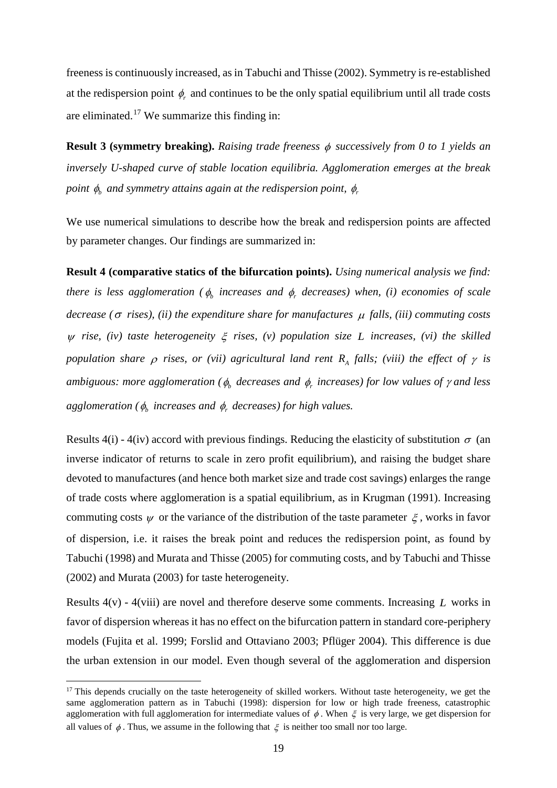freeness is continuously increased, as in Tabuchi and Thisse (2002). Symmetry is re-established at the redispersion point  $\phi_r$  and continues to be the only spatial equilibrium until all trade costs are eliminated.<sup>[17](#page-21-0)</sup> We summarize this finding in:

**Result 3 (symmetry breaking).** *Raising trade freeness* φ *successively from 0 to 1 yields an inversely U-shaped curve of stable location equilibria. Agglomeration emerges at the break point*  $\phi$ <sup>*b*</sup> *and symmetry attains again at the redispersion point,*  $\phi$ *<sup><i>r*</sup></sup>

We use numerical simulations to describe how the break and redispersion points are affected by parameter changes. Our findings are summarized in:

**Result 4 (comparative statics of the bifurcation points).** *Using numerical analysis we find: there is less agglomeration* ( $\phi$ <sub>*b*</sub> *increases and*  $\phi$ *<sub>r</sub> decreases*) when, (*i*) *economies of scale decrease (*<sup>σ</sup> *rises), (ii) the expenditure share for manufactures* <sup>µ</sup> *falls, (iii) commuting costs*  <sup>ψ</sup> *rise, (iv) taste heterogeneity* ξ *rises, (v) population size L increases, (vi) the skilled population share*  $\rho$  *rises, or (vii) agricultural land rent R<sub>A</sub> falls; (viii) the effect of*  $\gamma$  *is ambiguous: more agglomeration (*φ*<sup>b</sup> decreases and* φ*<sup>r</sup> increases) for low values of* <sup>γ</sup> *and less agglomeration* ( $\phi$ <sub>*b*</sub> *increases and*  $\phi$ *<sub><i>f*</sub> *decreases*) for high values.

Results 4(i) - 4(iv) accord with previous findings. Reducing the elasticity of substitution  $\sigma$  (an inverse indicator of returns to scale in zero profit equilibrium), and raising the budget share devoted to manufactures (and hence both market size and trade cost savings) enlarges the range of trade costs where agglomeration is a spatial equilibrium, as in Krugman (1991). Increasing commuting costs  $\psi$  or the variance of the distribution of the taste parameter  $\xi$ , works in favor of dispersion, i.e. it raises the break point and reduces the redispersion point, as found by Tabuchi (1998) and Murata and Thisse (2005) for commuting costs, and by Tabuchi and Thisse (2002) and Murata (2003) for taste heterogeneity.

Results 4(v) - 4(viii) are novel and therefore deserve some comments. Increasing *L* works in favor of dispersion whereas it has no effect on the bifurcation pattern in standard core-periphery models (Fujita et al. 1999; Forslid and Ottaviano 2003; Pflüger 2004). This difference is due the urban extension in our model. Even though several of the agglomeration and dispersion

<span id="page-21-0"></span> $17$  This depends crucially on the taste heterogeneity of skilled workers. Without taste heterogeneity, we get the same agglomeration pattern as in Tabuchi (1998): dispersion for low or high trade freeness, catastrophic agglomeration with full agglomeration for intermediate values of  $\phi$ . When  $\xi$  is very large, we get dispersion for all values of  $\phi$ . Thus, we assume in the following that  $\xi$  is neither too small nor too large.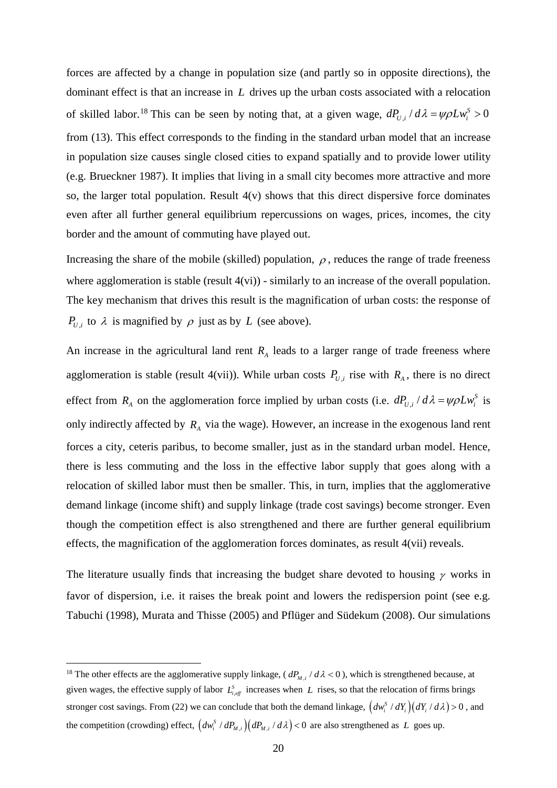forces are affected by a change in population size (and partly so in opposite directions), the dominant effect is that an increase in *L* drives up the urban costs associated with a relocation of skilled labor.<sup>[18](#page-22-0)</sup> This can be seen by noting that, at a given wage,  $dP_{U,i}/d\lambda = \psi \rho L w_i^S > 0$ from (13). This effect corresponds to the finding in the standard urban model that an increase in population size causes single closed cities to expand spatially and to provide lower utility (e.g. Brueckner 1987). It implies that living in a small city becomes more attractive and more so, the larger total population. Result  $4(v)$  shows that this direct dispersive force dominates even after all further general equilibrium repercussions on wages, prices, incomes, the city border and the amount of commuting have played out.

Increasing the share of the mobile (skilled) population,  $\rho$ , reduces the range of trade freeness where agglomeration is stable (result  $4(vi)$ ) - similarly to an increase of the overall population. The key mechanism that drives this result is the magnification of urban costs: the response of *P<sub>U,i</sub>* to  $\lambda$  is magnified by  $\rho$  just as by *L* (see above).

An increase in the agricultural land rent  $R<sub>A</sub>$  leads to a larger range of trade freeness where agglomeration is stable (result 4(vii)). While urban costs  $P_{U,i}$  rise with  $R_A$ , there is no direct effect from  $R_A$  on the agglomeration force implied by urban costs (i.e.  $dP_{U,i}/d\lambda = \psi \rho L w_i^S$  is only indirectly affected by  $R<sub>A</sub>$  via the wage). However, an increase in the exogenous land rent forces a city, ceteris paribus, to become smaller, just as in the standard urban model. Hence, there is less commuting and the loss in the effective labor supply that goes along with a relocation of skilled labor must then be smaller. This, in turn, implies that the agglomerative demand linkage (income shift) and supply linkage (trade cost savings) become stronger. Even though the competition effect is also strengthened and there are further general equilibrium effects, the magnification of the agglomeration forces dominates, as result 4(vii) reveals.

The literature usually finds that increasing the budget share devoted to housing  $\gamma$  works in favor of dispersion, i.e. it raises the break point and lowers the redispersion point (see e.g. Tabuchi (1998), Murata and Thisse (2005) and Pflüger and Südekum (2008). Our simulations

<span id="page-22-0"></span><sup>&</sup>lt;sup>18</sup> The other effects are the agglomerative supply linkage,  $(dP_{M,i}/d\lambda < 0)$ , which is strengthened because, at given wages, the effective supply of labor  $L^s_{i, eff}$  increases when L rises, so that the relocation of firms brings stronger cost savings. From (22) we can conclude that both the demand linkage,  $\left( dw_i^s / dY_i \right) (dY_i / d\lambda) > 0$ , and the competition (crowding) effect,  $\left( dw_i^S / dP_{M,i} \right) \left( dP_{M,i} / d\lambda \right) < 0$  are also strengthened as *L* goes up.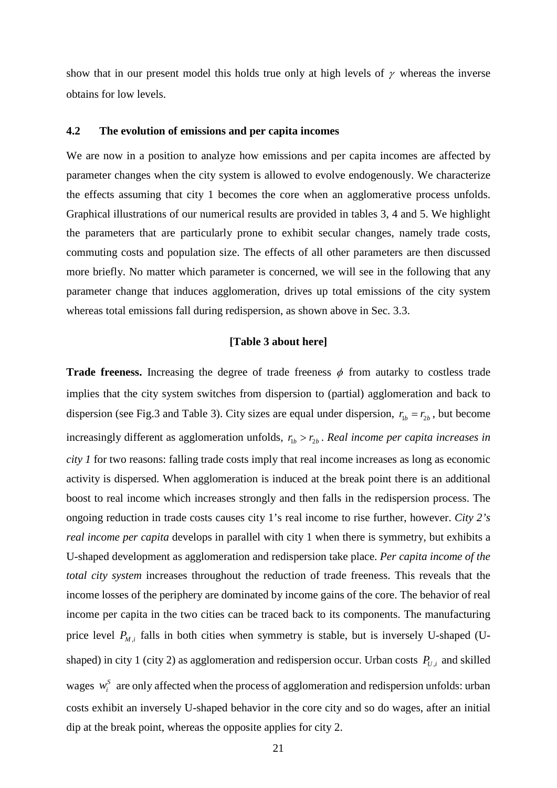show that in our present model this holds true only at high levels of  $\gamma$  whereas the inverse obtains for low levels.

#### **4.2 The evolution of emissions and per capita incomes**

We are now in a position to analyze how emissions and per capita incomes are affected by parameter changes when the city system is allowed to evolve endogenously. We characterize the effects assuming that city 1 becomes the core when an agglomerative process unfolds. Graphical illustrations of our numerical results are provided in tables 3, 4 and 5. We highlight the parameters that are particularly prone to exhibit secular changes, namely trade costs, commuting costs and population size. The effects of all other parameters are then discussed more briefly. No matter which parameter is concerned, we will see in the following that any parameter change that induces agglomeration, drives up total emissions of the city system whereas total emissions fall during redispersion, as shown above in Sec. 3.3.

#### **[Table 3 about here]**

**Trade freeness.** Increasing the degree of trade freeness  $\phi$  from autarky to costless trade implies that the city system switches from dispersion to (partial) agglomeration and back to dispersion (see Fig.3 and Table 3). City sizes are equal under dispersion,  $r_{1b} = r_{2b}$ , but become increasingly different as agglomeration unfolds,  $r_{1b} > r_{2b}$ . Real income per capita increases in *city 1* for two reasons: falling trade costs imply that real income increases as long as economic activity is dispersed. When agglomeration is induced at the break point there is an additional boost to real income which increases strongly and then falls in the redispersion process. The ongoing reduction in trade costs causes city 1's real income to rise further, however. *City 2's real income per capita* develops in parallel with city 1 when there is symmetry, but exhibits a U-shaped development as agglomeration and redispersion take place. *Per capita income of the total city system* increases throughout the reduction of trade freeness. This reveals that the income losses of the periphery are dominated by income gains of the core. The behavior of real income per capita in the two cities can be traced back to its components. The manufacturing price level  $P_{M,i}$  falls in both cities when symmetry is stable, but is inversely U-shaped (Ushaped) in city 1 (city 2) as agglomeration and redispersion occur. Urban costs  $P_{U,i}$  and skilled wages  $w_i^s$  are only affected when the process of agglomeration and redispersion unfolds: urban costs exhibit an inversely U-shaped behavior in the core city and so do wages, after an initial dip at the break point, whereas the opposite applies for city 2.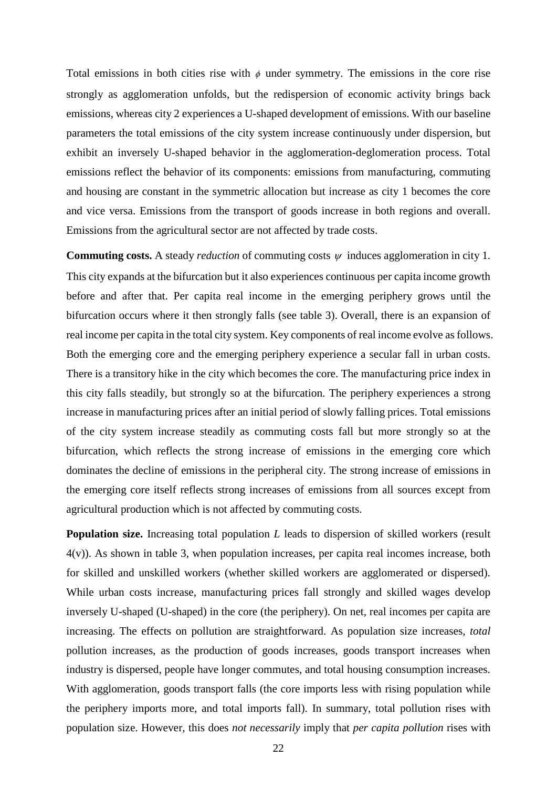Total emissions in both cities rise with  $\phi$  under symmetry. The emissions in the core rise strongly as agglomeration unfolds, but the redispersion of economic activity brings back emissions, whereas city 2 experiences a U-shaped development of emissions. With our baseline parameters the total emissions of the city system increase continuously under dispersion, but exhibit an inversely U-shaped behavior in the agglomeration-deglomeration process. Total emissions reflect the behavior of its components: emissions from manufacturing, commuting and housing are constant in the symmetric allocation but increase as city 1 becomes the core and vice versa. Emissions from the transport of goods increase in both regions and overall. Emissions from the agricultural sector are not affected by trade costs.

**Commuting costs.** A steady *reduction* of commuting costs  $\psi$  induces agglomeration in city 1. This city expands at the bifurcation but it also experiences continuous per capita income growth before and after that. Per capita real income in the emerging periphery grows until the bifurcation occurs where it then strongly falls (see table 3). Overall, there is an expansion of real income per capita in the total city system. Key components of real income evolve as follows. Both the emerging core and the emerging periphery experience a secular fall in urban costs. There is a transitory hike in the city which becomes the core. The manufacturing price index in this city falls steadily, but strongly so at the bifurcation. The periphery experiences a strong increase in manufacturing prices after an initial period of slowly falling prices. Total emissions of the city system increase steadily as commuting costs fall but more strongly so at the bifurcation, which reflects the strong increase of emissions in the emerging core which dominates the decline of emissions in the peripheral city. The strong increase of emissions in the emerging core itself reflects strong increases of emissions from all sources except from agricultural production which is not affected by commuting costs.

**Population size.** Increasing total population *L* leads to dispersion of skilled workers (result 4(v)). As shown in table 3, when population increases, per capita real incomes increase, both for skilled and unskilled workers (whether skilled workers are agglomerated or dispersed). While urban costs increase, manufacturing prices fall strongly and skilled wages develop inversely U-shaped (U-shaped) in the core (the periphery). On net, real incomes per capita are increasing. The effects on pollution are straightforward. As population size increases, *total* pollution increases, as the production of goods increases, goods transport increases when industry is dispersed, people have longer commutes, and total housing consumption increases. With agglomeration, goods transport falls (the core imports less with rising population while the periphery imports more, and total imports fall). In summary, total pollution rises with population size. However, this does *not necessarily* imply that *per capita pollution* rises with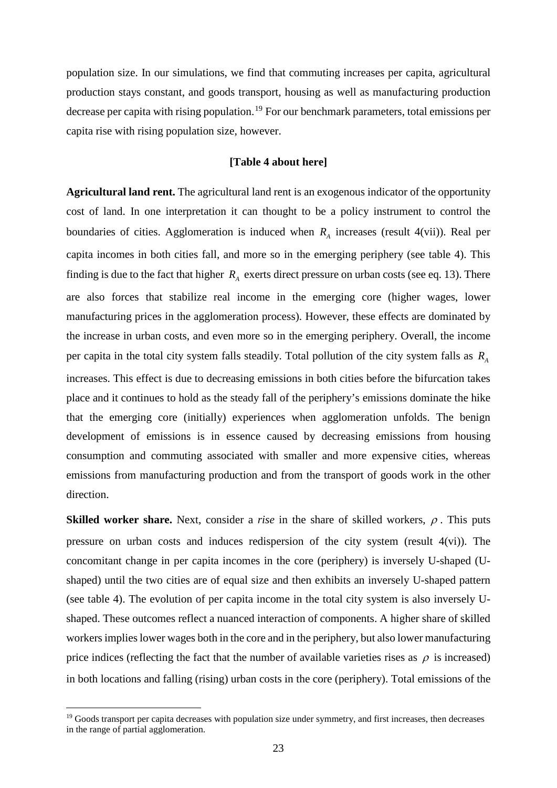population size. In our simulations, we find that commuting increases per capita, agricultural production stays constant, and goods transport, housing as well as manufacturing production decrease per capita with rising population.<sup>[19](#page-25-0)</sup> For our benchmark parameters, total emissions per capita rise with rising population size, however.

#### **[Table 4 about here]**

**Agricultural land rent.** The agricultural land rent is an exogenous indicator of the opportunity cost of land. In one interpretation it can thought to be a policy instrument to control the boundaries of cities. Agglomeration is induced when  $R<sub>A</sub>$  increases (result 4(vii)). Real per capita incomes in both cities fall, and more so in the emerging periphery (see table 4). This finding is due to the fact that higher  $R_A$  exerts direct pressure on urban costs (see eq. 13). There are also forces that stabilize real income in the emerging core (higher wages, lower manufacturing prices in the agglomeration process). However, these effects are dominated by the increase in urban costs, and even more so in the emerging periphery. Overall, the income per capita in the total city system falls steadily. Total pollution of the city system falls as *RA* increases. This effect is due to decreasing emissions in both cities before the bifurcation takes place and it continues to hold as the steady fall of the periphery's emissions dominate the hike that the emerging core (initially) experiences when agglomeration unfolds. The benign development of emissions is in essence caused by decreasing emissions from housing consumption and commuting associated with smaller and more expensive cities, whereas emissions from manufacturing production and from the transport of goods work in the other direction.

**Skilled worker share.** Next, consider a *rise* in the share of skilled workers,  $\rho$ . This puts pressure on urban costs and induces redispersion of the city system (result 4(vi)). The concomitant change in per capita incomes in the core (periphery) is inversely U-shaped (Ushaped) until the two cities are of equal size and then exhibits an inversely U-shaped pattern (see table 4). The evolution of per capita income in the total city system is also inversely Ushaped. These outcomes reflect a nuanced interaction of components. A higher share of skilled workers implies lower wages both in the core and in the periphery, but also lower manufacturing price indices (reflecting the fact that the number of available varieties rises as  $\rho$  is increased) in both locations and falling (rising) urban costs in the core (periphery). Total emissions of the

<span id="page-25-0"></span><sup>&</sup>lt;sup>19</sup> Goods transport per capita decreases with population size under symmetry, and first increases, then decreases in the range of partial agglomeration.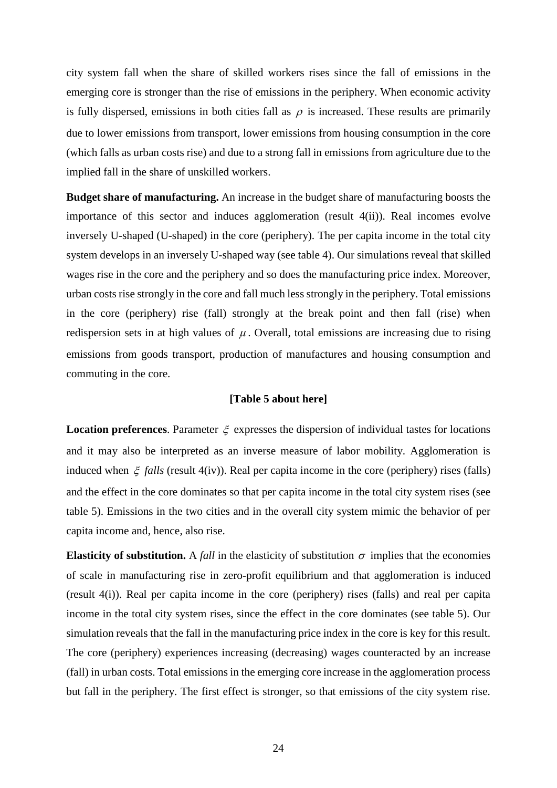city system fall when the share of skilled workers rises since the fall of emissions in the emerging core is stronger than the rise of emissions in the periphery. When economic activity is fully dispersed, emissions in both cities fall as  $\rho$  is increased. These results are primarily due to lower emissions from transport, lower emissions from housing consumption in the core (which falls as urban costs rise) and due to a strong fall in emissions from agriculture due to the implied fall in the share of unskilled workers.

**Budget share of manufacturing.** An increase in the budget share of manufacturing boosts the importance of this sector and induces agglomeration (result 4(ii)). Real incomes evolve inversely U-shaped (U-shaped) in the core (periphery). The per capita income in the total city system develops in an inversely U-shaped way (see table 4). Our simulations reveal that skilled wages rise in the core and the periphery and so does the manufacturing price index. Moreover, urban costs rise strongly in the core and fall much less strongly in the periphery. Total emissions in the core (periphery) rise (fall) strongly at the break point and then fall (rise) when redispersion sets in at high values of  $\mu$ . Overall, total emissions are increasing due to rising emissions from goods transport, production of manufactures and housing consumption and commuting in the core.

#### **[Table 5 about here]**

**Location preferences**. Parameter  $\xi$  expresses the dispersion of individual tastes for locations and it may also be interpreted as an inverse measure of labor mobility. Agglomeration is induced when ξ *falls* (result 4(iv)). Real per capita income in the core (periphery) rises (falls) and the effect in the core dominates so that per capita income in the total city system rises (see table 5). Emissions in the two cities and in the overall city system mimic the behavior of per capita income and, hence, also rise.

**Elasticity of substitution.** A *fall* in the elasticity of substitution  $\sigma$  implies that the economies of scale in manufacturing rise in zero-profit equilibrium and that agglomeration is induced (result 4(i)). Real per capita income in the core (periphery) rises (falls) and real per capita income in the total city system rises, since the effect in the core dominates (see table 5). Our simulation reveals that the fall in the manufacturing price index in the core is key for this result. The core (periphery) experiences increasing (decreasing) wages counteracted by an increase (fall) in urban costs. Total emissions in the emerging core increase in the agglomeration process but fall in the periphery. The first effect is stronger, so that emissions of the city system rise.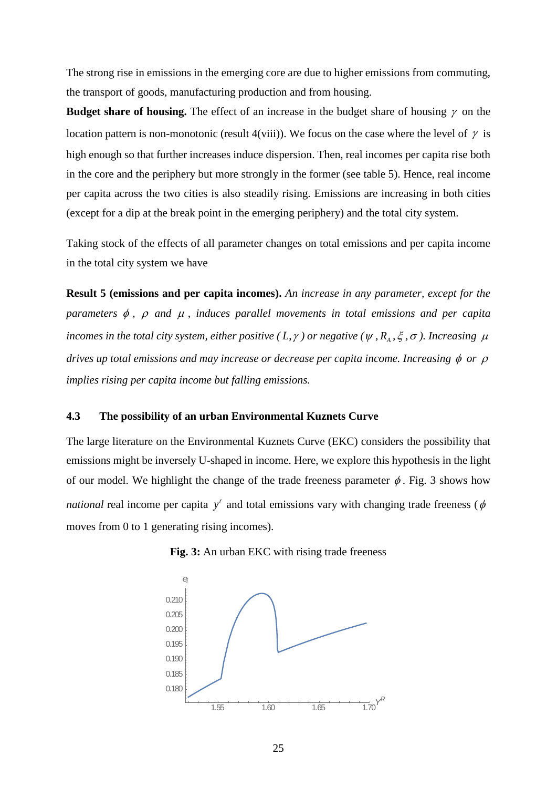The strong rise in emissions in the emerging core are due to higher emissions from commuting, the transport of goods, manufacturing production and from housing.

**Budget share of housing.** The effect of an increase in the budget share of housing  $\gamma$  on the location pattern is non-monotonic (result 4(viii)). We focus on the case where the level of  $\gamma$  is high enough so that further increases induce dispersion. Then, real incomes per capita rise both in the core and the periphery but more strongly in the former (see table 5). Hence, real income per capita across the two cities is also steadily rising. Emissions are increasing in both cities (except for a dip at the break point in the emerging periphery) and the total city system.

Taking stock of the effects of all parameter changes on total emissions and per capita income in the total city system we have

**Result 5 (emissions and per capita incomes).** *An increase in any parameter, except for the parameters* φ *,* ρ *and* <sup>µ</sup> *, induces parallel movements in total emissions and per capita incomes in the total city system, either positive (L,*  $\gamma$ *) or negative (* $\psi$ *,*  $R_A$ *,*  $\xi$ *,*  $\sigma$ *). Increasing*  $\mu$ *drives up total emissions and may increase or decrease per capita income. Increasing* φ *or* ρ *implies rising per capita income but falling emissions.*

#### **4.3 The possibility of an urban Environmental Kuznets Curve**

The large literature on the Environmental Kuznets Curve (EKC) considers the possibility that emissions might be inversely U-shaped in income. Here, we explore this hypothesis in the light of our model. We highlight the change of the trade freeness parameter  $\phi$ . Fig. 3 shows how *national* real income per capita  $y^r$  and total emissions vary with changing trade freeness ( $\phi$ moves from 0 to 1 generating rising incomes).



**Fig. 3:** An urban EKC with rising trade freeness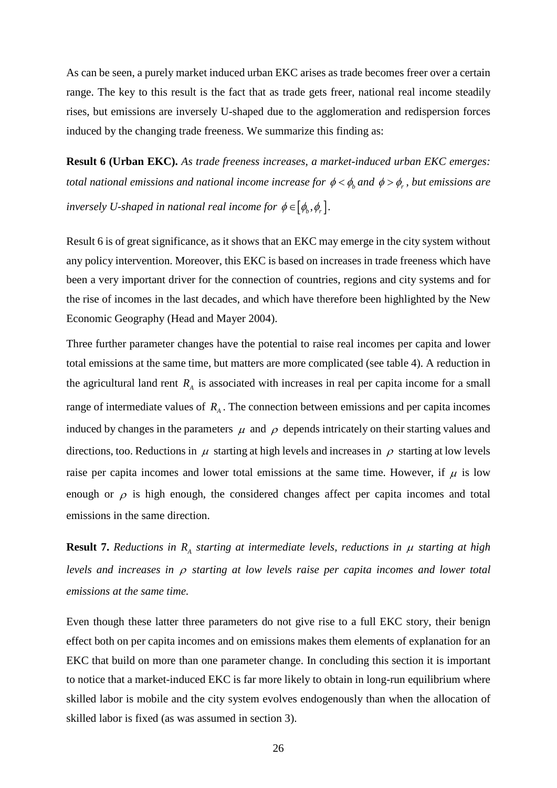As can be seen, a purely market induced urban EKC arises as trade becomes freer over a certain range. The key to this result is the fact that as trade gets freer, national real income steadily rises, but emissions are inversely U-shaped due to the agglomeration and redispersion forces induced by the changing trade freeness. We summarize this finding as:

**Result 6 (Urban EKC).** *As trade freeness increases, a market-induced urban EKC emerges: total national emissions and national income increase for*  $\phi < \phi_b$  *and*  $\phi > \phi_r$ , *but emissions are inversely U-shaped in national real income for*  $\phi \in [\phi_h, \phi_r]$ *.* 

Result 6 is of great significance, as it shows that an EKC may emerge in the city system without any policy intervention. Moreover, this EKC is based on increases in trade freeness which have been a very important driver for the connection of countries, regions and city systems and for the rise of incomes in the last decades, and which have therefore been highlighted by the New Economic Geography (Head and Mayer 2004).

Three further parameter changes have the potential to raise real incomes per capita and lower total emissions at the same time, but matters are more complicated (see table 4). A reduction in the agricultural land rent  $R_A$  is associated with increases in real per capita income for a small range of intermediate values of  $R_A$ . The connection between emissions and per capita incomes induced by changes in the parameters  $\mu$  and  $\rho$  depends intricately on their starting values and directions, too. Reductions in  $\mu$  starting at high levels and increases in  $\rho$  starting at low levels raise per capita incomes and lower total emissions at the same time. However, if  $\mu$  is low enough or  $\rho$  is high enough, the considered changes affect per capita incomes and total emissions in the same direction.

**Result 7.** *Reductions in R<sub>A</sub> starting at intermediate levels, reductions in*  $\mu$  *starting at high levels and increases in* <sup>ρ</sup> *starting at low levels raise per capita incomes and lower total emissions at the same time.*

Even though these latter three parameters do not give rise to a full EKC story, their benign effect both on per capita incomes and on emissions makes them elements of explanation for an EKC that build on more than one parameter change. In concluding this section it is important to notice that a market-induced EKC is far more likely to obtain in long-run equilibrium where skilled labor is mobile and the city system evolves endogenously than when the allocation of skilled labor is fixed (as was assumed in section 3).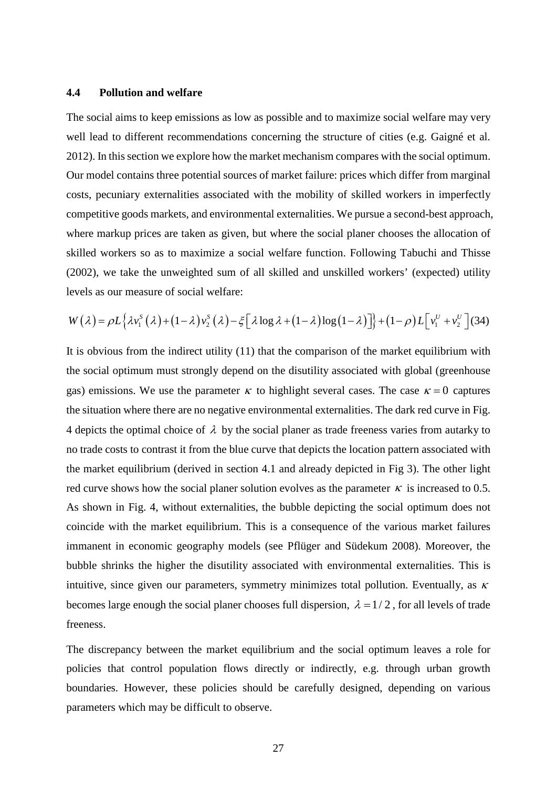#### **4.4 Pollution and welfare**

The social aims to keep emissions as low as possible and to maximize social welfare may very well lead to different recommendations concerning the structure of cities (e.g. Gaigné et al. 2012). In this section we explore how the market mechanism compares with the social optimum. Our model contains three potential sources of market failure: prices which differ from marginal costs, pecuniary externalities associated with the mobility of skilled workers in imperfectly competitive goods markets, and environmental externalities. We pursue a second-best approach, where markup prices are taken as given, but where the social planer chooses the allocation of skilled workers so as to maximize a social welfare function. Following Tabuchi and Thisse (2002), we take the unweighted sum of all skilled and unskilled workers' (expected) utility levels as our measure of social welfare:

$$
W(\lambda) = \rho L\left\{\lambda v_1^S(\lambda) + (1-\lambda)v_2^S(\lambda) - \xi\left[\lambda\log\lambda + (1-\lambda)\log(1-\lambda)\right]\right\} + (1-\rho)L\left[v_1^U + v_2^U\right](34)
$$

It is obvious from the indirect utility (11) that the comparison of the market equilibrium with the social optimum must strongly depend on the disutility associated with global (greenhouse gas) emissions. We use the parameter  $\kappa$  to highlight several cases. The case  $\kappa = 0$  captures the situation where there are no negative environmental externalities. The dark red curve in Fig. 4 depicts the optimal choice of  $\lambda$  by the social planer as trade freeness varies from autarky to no trade costs to contrast it from the blue curve that depicts the location pattern associated with the market equilibrium (derived in section 4.1 and already depicted in Fig 3). The other light red curve shows how the social planer solution evolves as the parameter  $\kappa$  is increased to 0.5. As shown in Fig. 4, without externalities, the bubble depicting the social optimum does not coincide with the market equilibrium. This is a consequence of the various market failures immanent in economic geography models (see Pflüger and Südekum 2008). Moreover, the bubble shrinks the higher the disutility associated with environmental externalities. This is intuitive, since given our parameters, symmetry minimizes total pollution. Eventually, as  $\kappa$ becomes large enough the social planer chooses full dispersion,  $\lambda = 1/2$ , for all levels of trade freeness.

The discrepancy between the market equilibrium and the social optimum leaves a role for policies that control population flows directly or indirectly, e.g. through urban growth boundaries. However, these policies should be carefully designed, depending on various parameters which may be difficult to observe.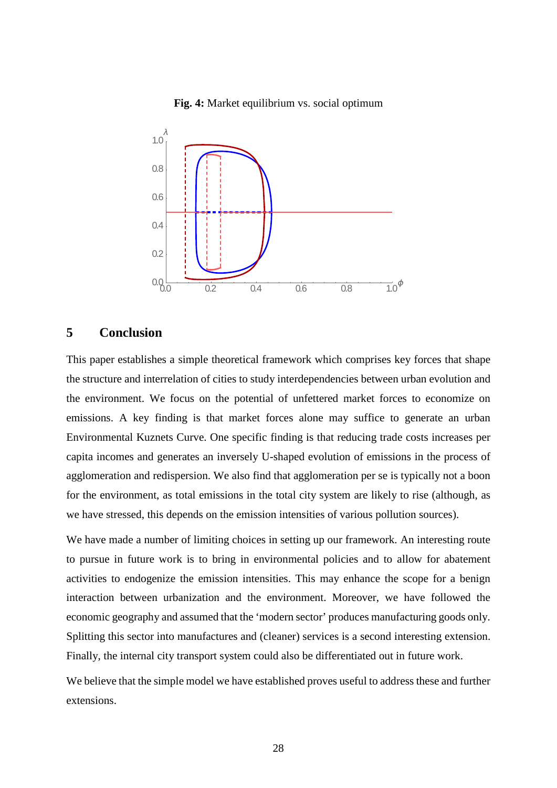#### **Fig. 4:** Market equilibrium vs. social optimum



#### **5 Conclusion**

This paper establishes a simple theoretical framework which comprises key forces that shape the structure and interrelation of cities to study interdependencies between urban evolution and the environment. We focus on the potential of unfettered market forces to economize on emissions. A key finding is that market forces alone may suffice to generate an urban Environmental Kuznets Curve. One specific finding is that reducing trade costs increases per capita incomes and generates an inversely U-shaped evolution of emissions in the process of agglomeration and redispersion. We also find that agglomeration per se is typically not a boon for the environment, as total emissions in the total city system are likely to rise (although, as we have stressed, this depends on the emission intensities of various pollution sources).

We have made a number of limiting choices in setting up our framework. An interesting route to pursue in future work is to bring in environmental policies and to allow for abatement activities to endogenize the emission intensities. This may enhance the scope for a benign interaction between urbanization and the environment. Moreover, we have followed the economic geography and assumed that the 'modern sector' produces manufacturing goods only. Splitting this sector into manufactures and (cleaner) services is a second interesting extension. Finally, the internal city transport system could also be differentiated out in future work.

We believe that the simple model we have established proves useful to address these and further extensions.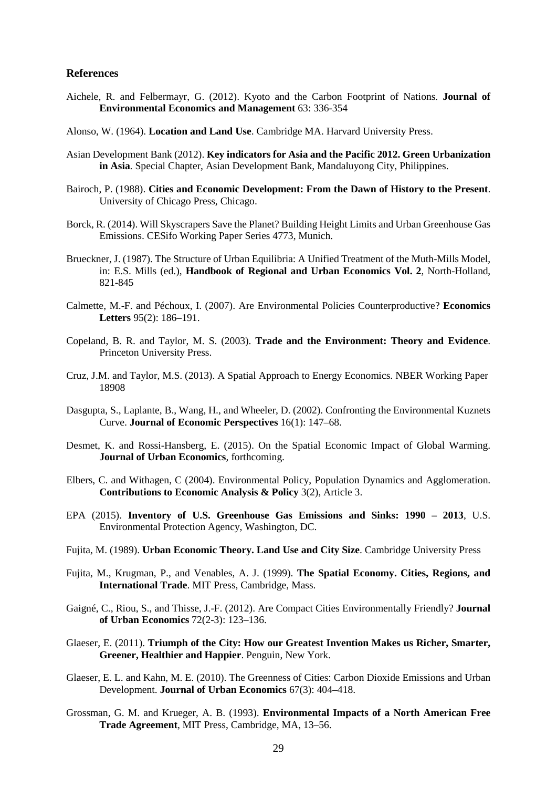#### **References**

- Aichele, R. and Felbermayr, G. (2012). Kyoto and the Carbon Footprint of Nations. **Journal of Environmental Economics and Management** 63: 336-354
- Alonso, W. (1964). **Location and Land Use**. Cambridge MA. Harvard University Press.
- Asian Development Bank (2012). **Key indicators for Asia and the Pacific 2012. Green Urbanization in Asia**. Special Chapter, Asian Development Bank, Mandaluyong City, Philippines.
- Bairoch, P. (1988). **Cities and Economic Development: From the Dawn of History to the Present**. University of Chicago Press, Chicago.
- Borck, R. (2014). Will Skyscrapers Save the Planet? Building Height Limits and Urban Greenhouse Gas Emissions. CESifo Working Paper Series 4773, Munich.
- Brueckner, J. (1987). The Structure of Urban Equilibria: A Unified Treatment of the Muth-Mills Model, in: E.S. Mills (ed.), **Handbook of Regional and Urban Economics Vol. 2**, North-Holland, 821-845
- Calmette, M.-F. and Péchoux, I. (2007). Are Environmental Policies Counterproductive? **Economics Letters** 95(2): 186–191.
- Copeland, B. R. and Taylor, M. S. (2003). **Trade and the Environment: Theory and Evidence**. Princeton University Press.
- Cruz, J.M. and Taylor, M.S. (2013). A Spatial Approach to Energy Economics. NBER Working Paper 18908
- Dasgupta, S., Laplante, B., Wang, H., and Wheeler, D. (2002). Confronting the Environmental Kuznets Curve. **Journal of Economic Perspectives** 16(1): 147–68.
- Desmet, K. and Rossi-Hansberg, E. (2015). On the Spatial Economic Impact of Global Warming. **Journal of Urban Economics**, forthcoming.
- Elbers, C. and Withagen, C (2004). Environmental Policy, Population Dynamics and Agglomeration. **Contributions to Economic Analysis & Policy** 3(2), Article 3.
- EPA (2015). **Inventory of U.S. Greenhouse Gas Emissions and Sinks: 1990 – 2013**, U.S. Environmental Protection Agency, Washington, DC.
- Fujita, M. (1989). **Urban Economic Theory. Land Use and City Size**. Cambridge University Press
- Fujita, M., Krugman, P., and Venables, A. J. (1999). **The Spatial Economy. Cities, Regions, and International Trade**. MIT Press, Cambridge, Mass.
- Gaigné, C., Riou, S., and Thisse, J.-F. (2012). Are Compact Cities Environmentally Friendly? **Journal of Urban Economics** 72(2-3): 123–136.
- Glaeser, E. (2011). **Triumph of the City: How our Greatest Invention Makes us Richer, Smarter, Greener, Healthier and Happier**. Penguin, New York.
- Glaeser, E. L. and Kahn, M. E. (2010). The Greenness of Cities: Carbon Dioxide Emissions and Urban Development. **Journal of Urban Economics** 67(3): 404–418.
- Grossman, G. M. and Krueger, A. B. (1993). **Environmental Impacts of a North American Free Trade Agreement**, MIT Press, Cambridge, MA, 13–56.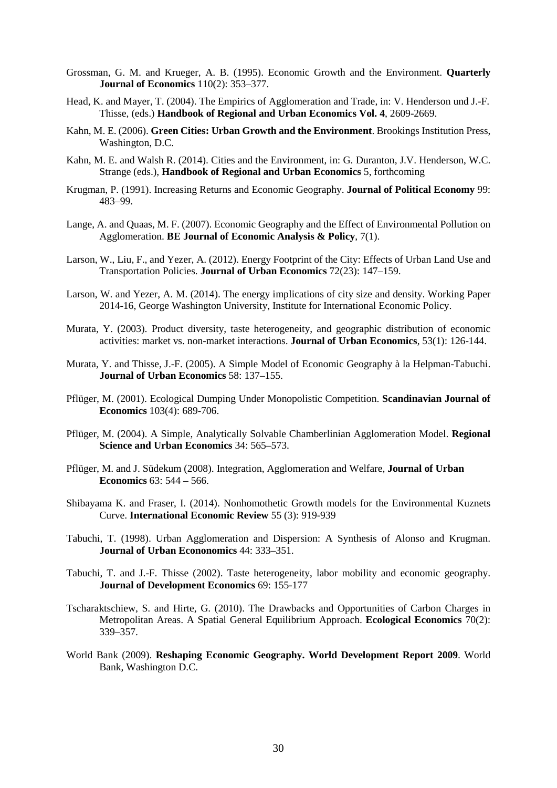- Grossman, G. M. and Krueger, A. B. (1995). Economic Growth and the Environment. **Quarterly Journal of Economics** 110(2): 353–377.
- Head, K. and Mayer, T. (2004). The Empirics of Agglomeration and Trade, in: V. Henderson und J.-F. Thisse, (eds.) **Handbook of Regional and Urban Economics Vol. 4**, 2609-2669.
- Kahn, M. E. (2006). **Green Cities: Urban Growth and the Environment**. Brookings Institution Press, Washington, D.C.
- Kahn, M. E. and Walsh R. (2014). Cities and the Environment, in: G. Duranton, J.V. Henderson, W.C. Strange (eds.), **Handbook of Regional and Urban Economics** 5, forthcoming
- Krugman, P. (1991). Increasing Returns and Economic Geography. **Journal of Political Economy** 99: 483–99.
- Lange, A. and Quaas, M. F. (2007). Economic Geography and the Effect of Environmental Pollution on Agglomeration. **BE Journal of Economic Analysis & Policy**, 7(1).
- Larson, W., Liu, F., and Yezer, A. (2012). Energy Footprint of the City: Effects of Urban Land Use and Transportation Policies. **Journal of Urban Economics** 72(23): 147–159.
- Larson, W. and Yezer, A. M. (2014). The energy implications of city size and density. Working Paper 2014-16, George Washington University, Institute for International Economic Policy.
- Murata, Y. (2003). Product diversity, taste heterogeneity, and geographic distribution of economic activities: market vs. non-market interactions. **Journal of Urban Economics**, 53(1): 126-144.
- Murata, Y. and Thisse, J.-F. (2005). A Simple Model of Economic Geography à la Helpman-Tabuchi. **Journal of Urban Economics** 58: 137–155.
- Pflüger, M. (2001). Ecological Dumping Under Monopolistic Competition. **Scandinavian Journal of Economics** 103(4): 689-706.
- Pflüger, M. (2004). A Simple, Analytically Solvable Chamberlinian Agglomeration Model. **Regional Science and Urban Economics** 34: 565–573.
- Pflüger, M. and J. Südekum (2008). Integration, Agglomeration and Welfare, **Journal of Urban Economics** 63: 544 – 566.
- Shibayama K. and Fraser, I. (2014). Nonhomothetic Growth models for the Environmental Kuznets Curve. **International Economic Review** 55 (3): 919-939
- Tabuchi, T. (1998). Urban Agglomeration and Dispersion: A Synthesis of Alonso and Krugman. **Journal of Urban Econonomics** 44: 333–351.
- Tabuchi, T. and J.-F. Thisse (2002). Taste heterogeneity, labor mobility and economic geography. **Journal of Development Economics** 69: 155-177
- Tscharaktschiew, S. and Hirte, G. (2010). The Drawbacks and Opportunities of Carbon Charges in Metropolitan Areas. A Spatial General Equilibrium Approach. **Ecological Economics** 70(2): 339–357.
- World Bank (2009). **Reshaping Economic Geography. World Development Report 2009**. World Bank, Washington D.C.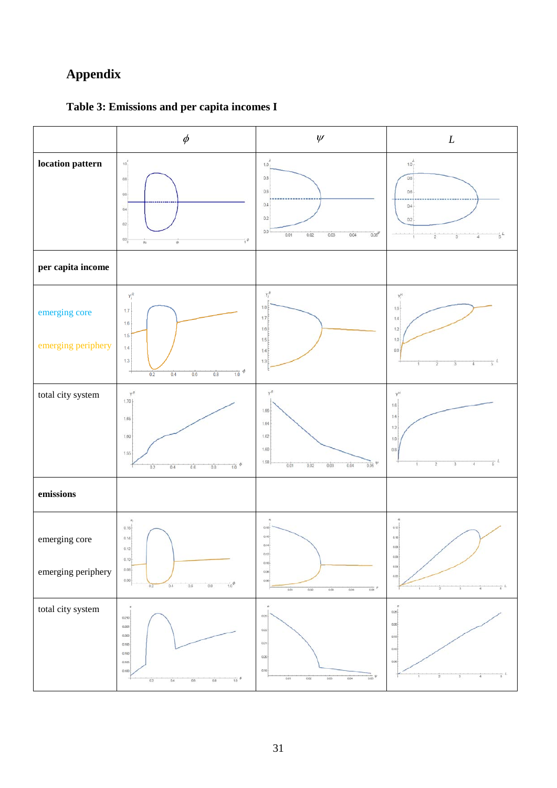# **Appendix**



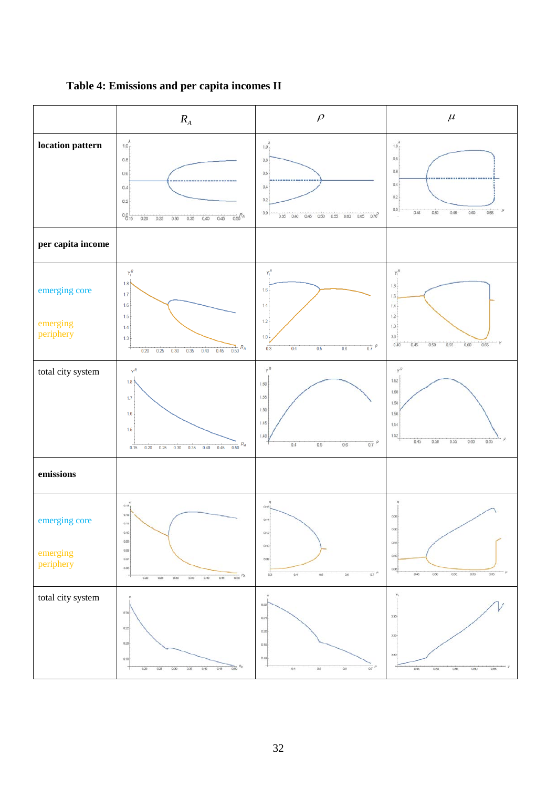

**Table 4: Emissions and per capita incomes II**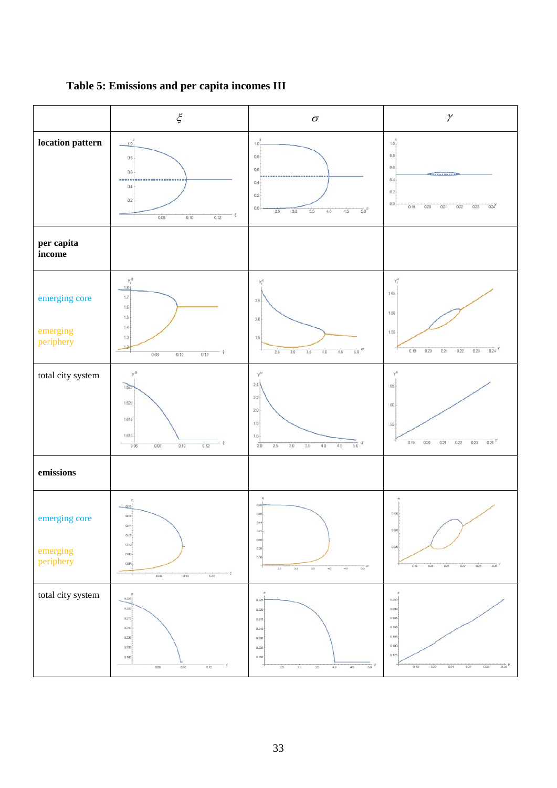

**Table 5: Emissions and per capita incomes III**